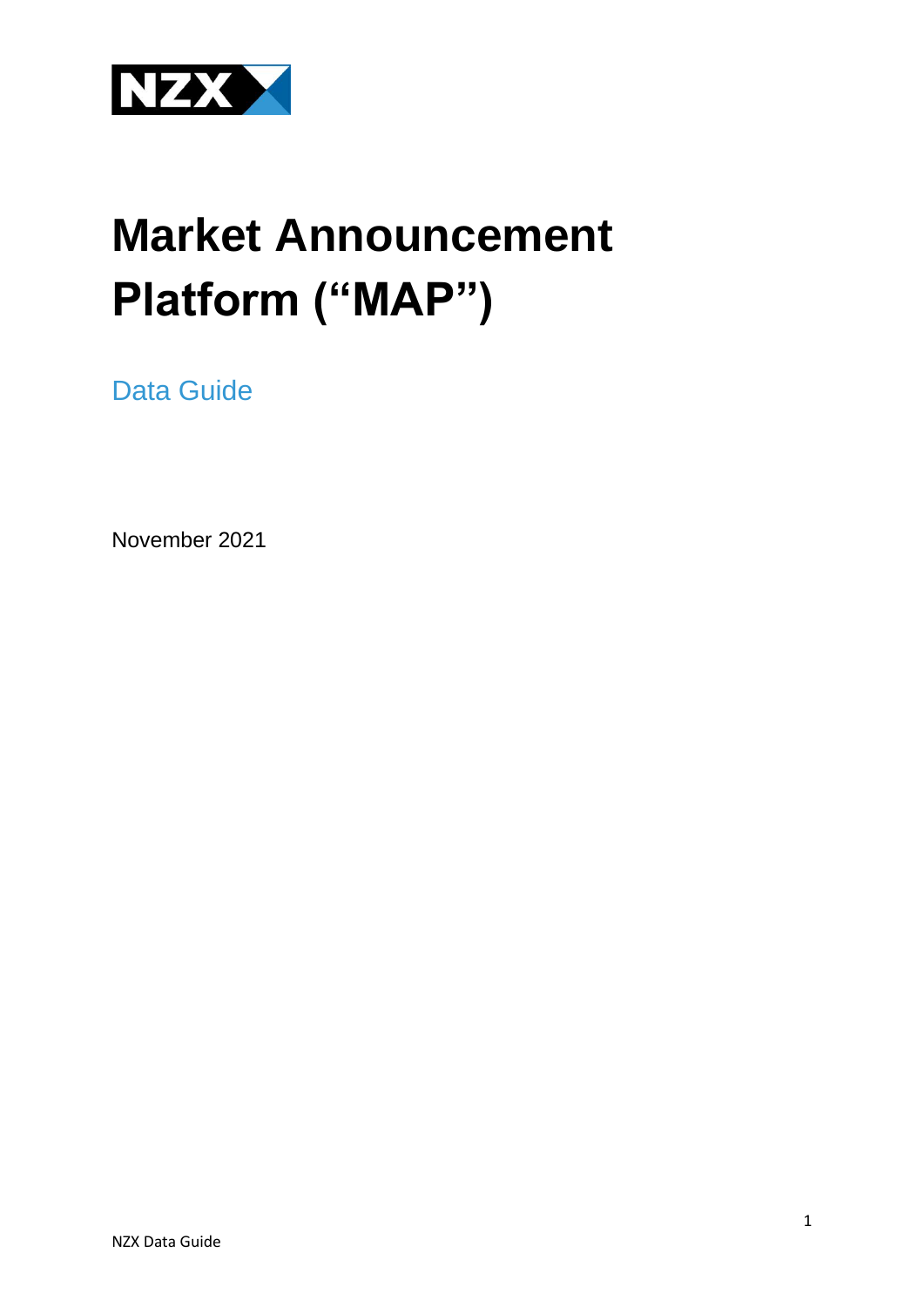

# **Market Announcement Platform ("MAP")**

<span id="page-0-0"></span>Data Guide

November 2021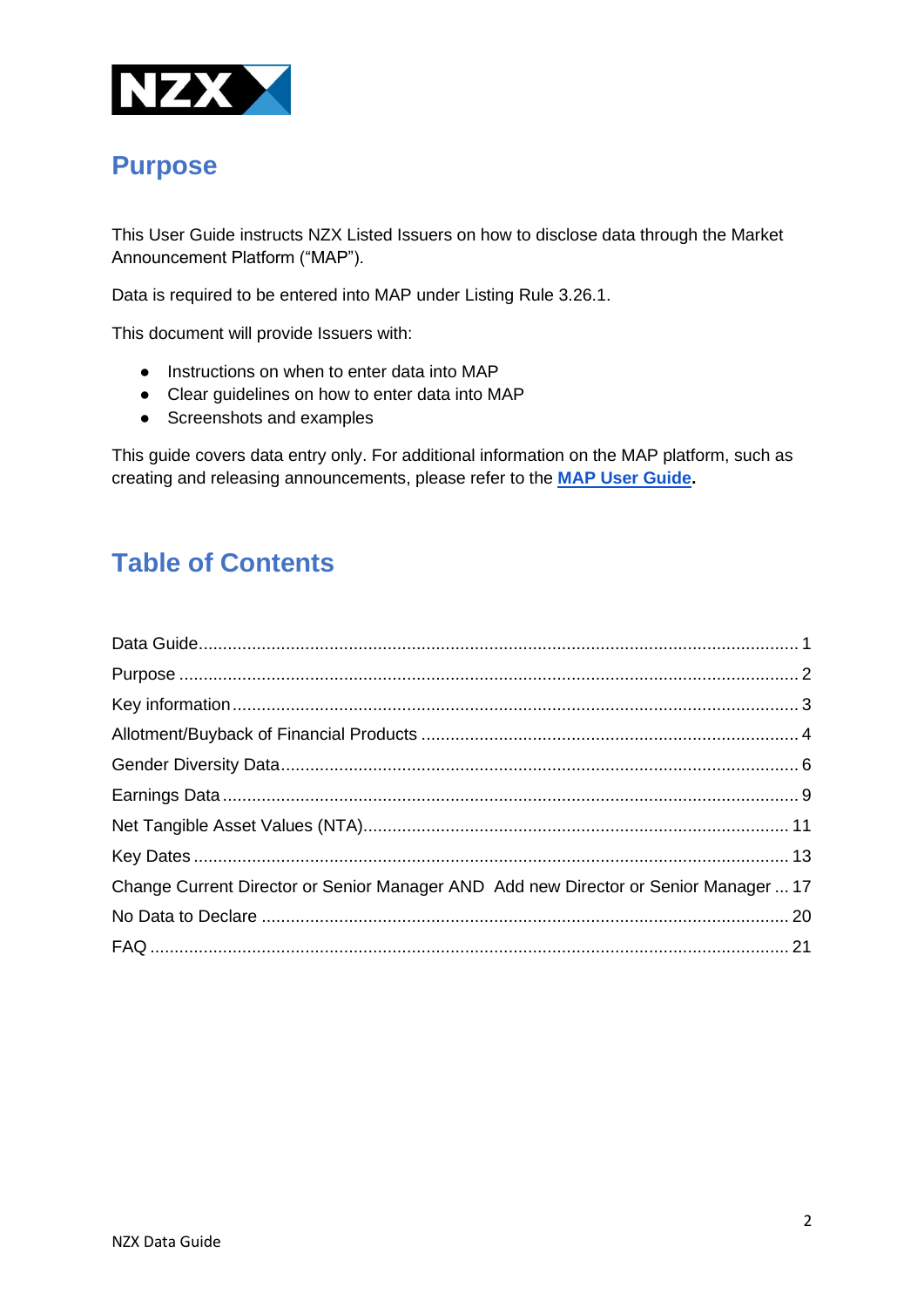

# <span id="page-1-0"></span>**Purpose**

This User Guide instructs NZX Listed Issuers on how to disclose data through the Market Announcement Platform ("MAP").

Data is required to be entered into MAP under Listing Rule 3.26.1.

This document will provide Issuers with:

- Instructions on when to enter data into MAP
- Clear guidelines on how to enter data into MAP
- Screenshots and examples

This guide covers data entry only. For additional information on the MAP platform, such as creating and releasing announcements, please refer to the **[MAP User Guide.](https://map.nzx.com/static/forms/)** 

# **Table of Contents**

<span id="page-1-1"></span>

| Change Current Director or Senior Manager AND Add new Director or Senior Manager  17 |  |
|--------------------------------------------------------------------------------------|--|
|                                                                                      |  |
|                                                                                      |  |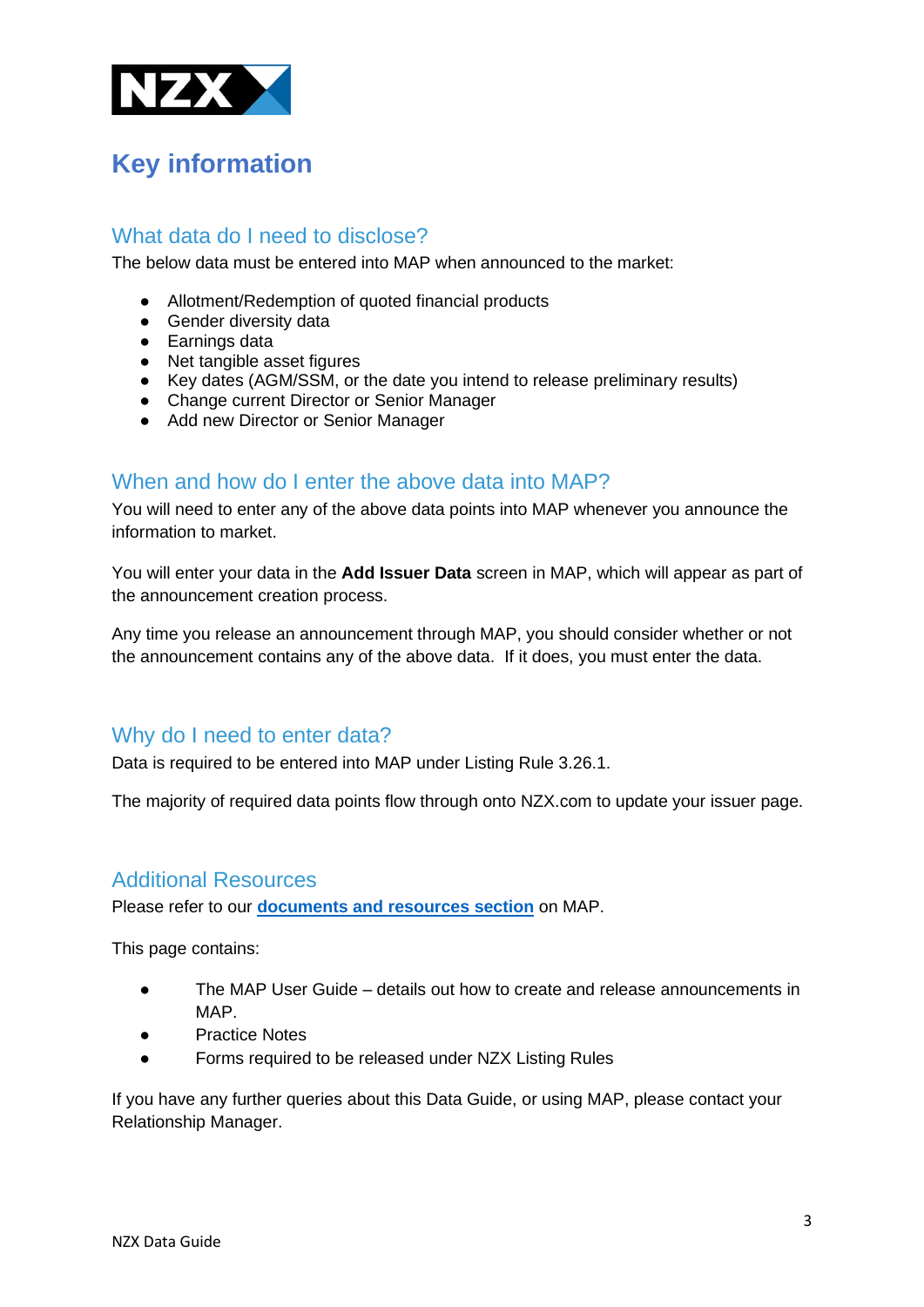

# **Key information**

### What data do I need to disclose?

The below data must be entered into MAP when announced to the market:

- Allotment/Redemption of quoted financial products
- Gender diversity data
- Earnings data
- Net tangible asset figures
- Key dates (AGM/SSM, or the date you intend to release preliminary results)
- Change current Director or Senior Manager
- Add new Director or Senior Manager

#### When and how do I enter the above data into MAP?

You will need to enter any of the above data points into MAP whenever you announce the information to market.

You will enter your data in the **Add Issuer Data** screen in MAP, which will appear as part of the announcement creation process.

Any time you release an announcement through MAP, you should consider whether or not the announcement contains any of the above data. If it does, you must enter the data.

### Why do I need to enter data?

Data is required to be entered into MAP under Listing Rule 3.26.1.

The majority of required data points flow through onto NZX.com to update your issuer page.

#### Additional Resources

Please refer to our **[documents and resources section](https://map.nzx.com/static/forms/)** on MAP.

This page contains:

- The MAP User Guide details out how to create and release announcements in MAP.
- **Practice Notes**
- Forms required to be released under NZX Listing Rules

If you have any further queries about this Data Guide, or using MAP, please contact your Relationship Manager.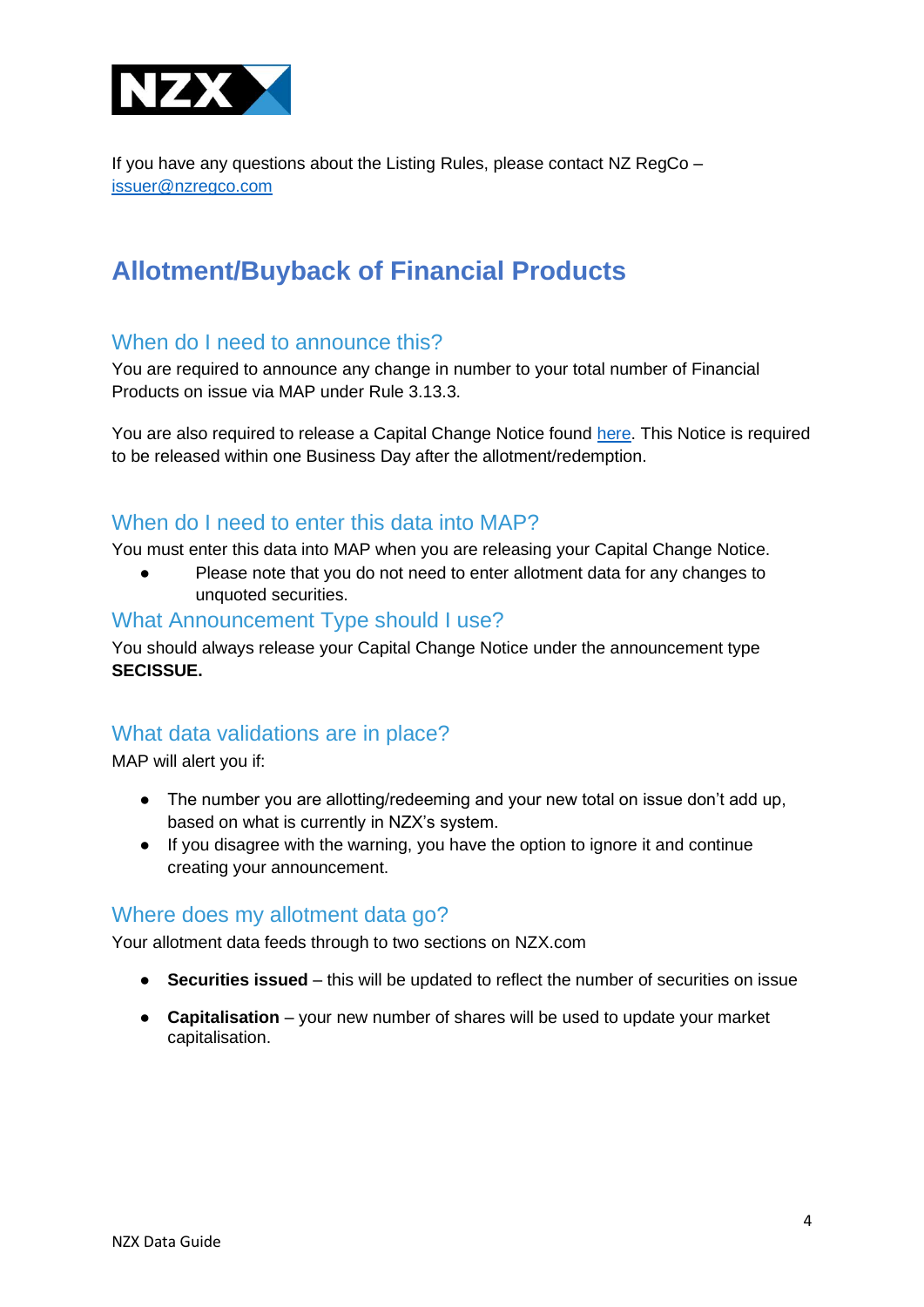

If you have any questions about the Listing Rules, please contact NZ RegCo – [issuer@nzregco.com](mailto:issuer@nzregco.com)

# <span id="page-3-0"></span>**Allotment/Buyback of Financial Products**

### When do I need to announce this?

You are required to announce any change in number to your total number of Financial Products on issue via MAP under Rule 3.13.3.

You are also required to release a Capital Change Notice found [here.](http://www.map.nzx.com/) This Notice is required to be released within one Business Day after the allotment/redemption.

### When do I need to enter this data into MAP?

You must enter this data into MAP when you are releasing your Capital Change Notice.

Please note that you do not need to enter allotment data for any changes to unquoted securities.

#### What Announcement Type should I use?

You should always release your Capital Change Notice under the announcement type **SECISSUE.**

### What data validations are in place?

MAP will alert you if:

- The number you are allotting/redeeming and your new total on issue don't add up, based on what is currently in NZX's system.
- If you disagree with the warning, you have the option to ignore it and continue creating your announcement.

#### Where does my allotment data go?

Your allotment data feeds through to two sections on NZX.com

- **Securities issued**  this will be updated to reflect the number of securities on issue
- **Capitalisation**  your new number of shares will be used to update your market capitalisation.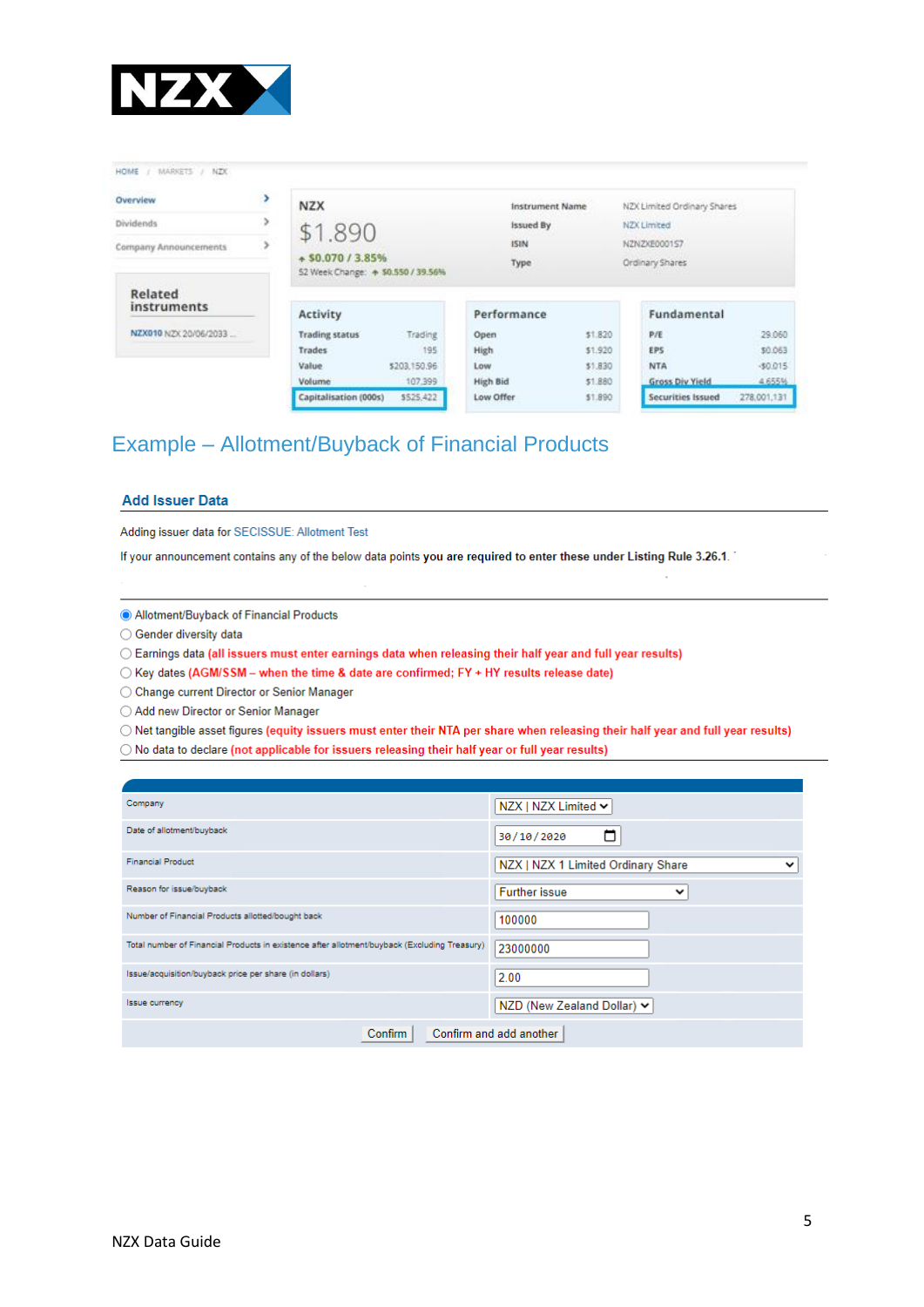

HOME / MARKETS / NZX

| Overview               | ,<br><b>NZX</b>       |                                    | <b>Instrument Name</b> |         | NZX Limited Ordinary Shares |             |
|------------------------|-----------------------|------------------------------------|------------------------|---------|-----------------------------|-------------|
| Dividends              | \$1.890               |                                    | Issued By              |         | NZX Limited                 |             |
| Company Announcements  |                       |                                    | <b>ISIN</b>            |         | NZNZXE0001S7                |             |
|                        | $+50.070/3.85%$       | 52 Week Change: + \$0.550 / 39.56% | Type                   |         | Ordinary Shares             |             |
| Related<br>instruments | Activity              |                                    | Performance            |         | Fundamental                 |             |
| NZX010 NZX 20/06/2033  | <b>Trading status</b> | Trading                            | Open                   | \$1,820 | P/E                         | 29.060      |
|                        | <b>Trades</b>         | 195                                | High                   | \$1,920 | <b>EPS</b>                  | \$0.063     |
|                        | Value                 | \$203,150.96                       | Low                    | \$1,830 | <b>NTA</b>                  | $-50.015$   |
|                        | Volume                | 107,399                            | High Bid               | \$1,880 | <b>Gross Div Yield</b>      | 4.655%      |
|                        | Capitalisation (000s) | \$525,422                          | Low Offer              | \$1,890 | Securities Issued           | 278,001,131 |

# Example – Allotment/Buyback of Financial Products

#### **Add Issuer Data**

Adding issuer data for SECISSUE: Allotment Test

If your announcement contains any of the below data points you are required to enter these under Listing Rule 3.26.1.

Allotment/Buyback of Financial Products

◯ Gender diversity data

◯ Earnings data (all issuers must enter earnings data when releasing their half year and full year results)

○ Key dates (AGM/SSM - when the time & date are confirmed; FY + HY results release date)

◯ Change current Director or Senior Manager

○ Add new Director or Senior Manager

O Net tangible asset figures (equity issuers must enter their NTA per share when releasing their half year and full year results)

 $\bigcirc$  No data to declare (not applicable for issuers releasing their half year or full year results)

| Company                                                                                      | NZX   NZX Limited ↓                                |  |  |  |  |
|----------------------------------------------------------------------------------------------|----------------------------------------------------|--|--|--|--|
| Date of allotment/buyback                                                                    | 30/10/2020                                         |  |  |  |  |
| <b>Financial Product</b>                                                                     | NZX   NZX 1 Limited Ordinary Share<br>$\checkmark$ |  |  |  |  |
| Reason for issue/buyback                                                                     | <b>Further issue</b><br>$\check{ }$                |  |  |  |  |
| Number of Financial Products allotted/bought back                                            | 100000                                             |  |  |  |  |
| Total number of Financial Products in existence after allotment/buyback (Excluding Treasury) | 23000000                                           |  |  |  |  |
| Issue/acquisition/buyback price per share (in dollars)                                       | 2.00                                               |  |  |  |  |
| <b>Issue currency</b>                                                                        | NZD (New Zealand Dollar) ↓                         |  |  |  |  |
| Confirm and add another<br>Confirm                                                           |                                                    |  |  |  |  |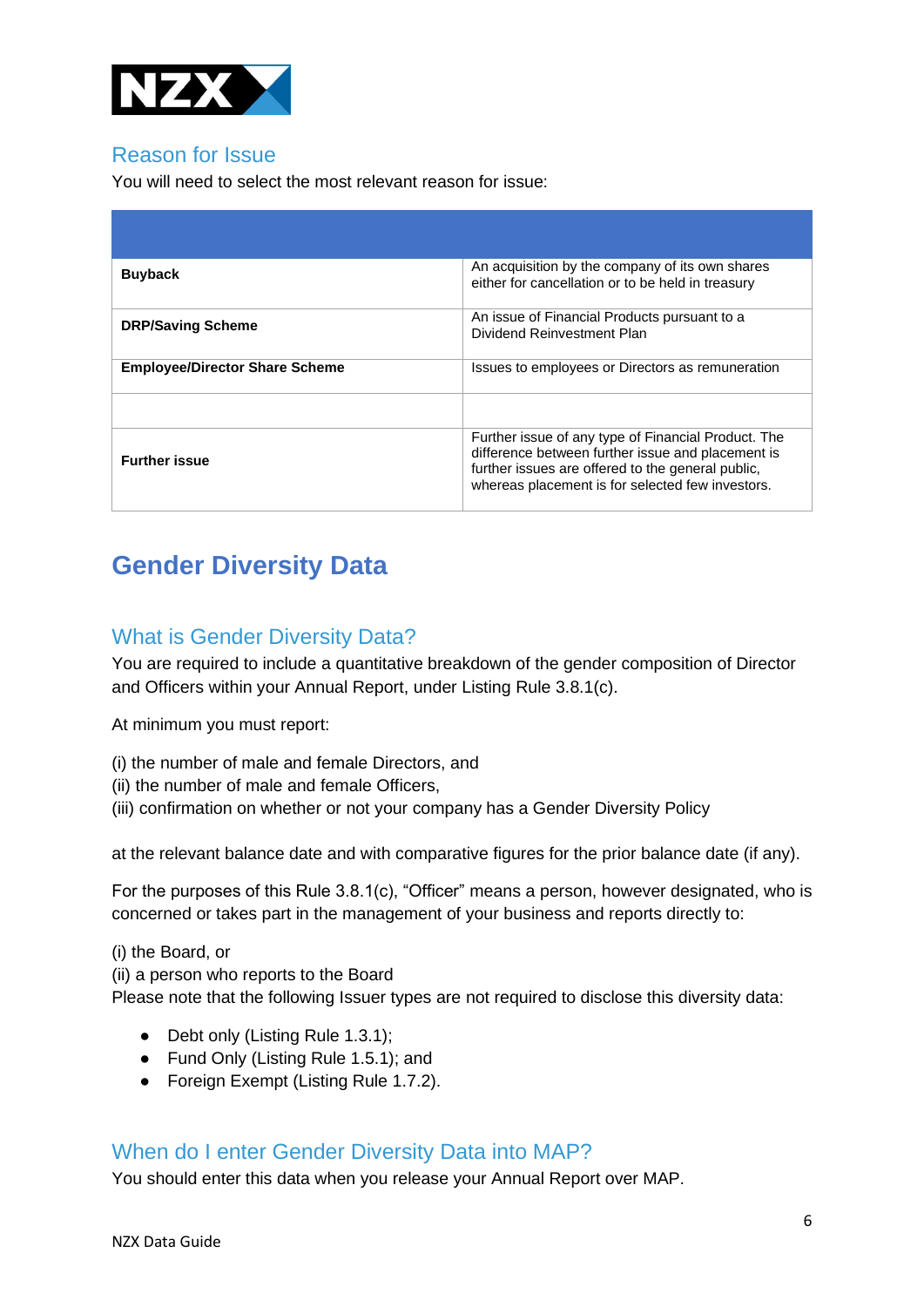

### Reason for Issue

You will need to select the most relevant reason for issue:

| <b>Buyback</b>                        | An acquisition by the company of its own shares<br>either for cancellation or to be held in treasury                                                                                                              |
|---------------------------------------|-------------------------------------------------------------------------------------------------------------------------------------------------------------------------------------------------------------------|
| <b>DRP/Saving Scheme</b>              | An issue of Financial Products pursuant to a<br>Dividend Reinvestment Plan                                                                                                                                        |
| <b>Employee/Director Share Scheme</b> | Issues to employees or Directors as remuneration                                                                                                                                                                  |
|                                       |                                                                                                                                                                                                                   |
| <b>Further issue</b>                  | Further issue of any type of Financial Product. The<br>difference between further issue and placement is<br>further issues are offered to the general public,<br>whereas placement is for selected few investors. |

# <span id="page-5-0"></span>**Gender Diversity Data**

### What is Gender Diversity Data?

You are required to include a quantitative breakdown of the gender composition of Director and Officers within your Annual Report, under Listing Rule 3.8.1(c).

At minimum you must report:

- (i) the number of male and female Directors, and
- (ii) the number of male and female Officers,
- (iii) confirmation on whether or not your company has a Gender Diversity Policy

at the relevant balance date and with comparative figures for the prior balance date (if any).

For the purposes of this Rule 3.8.1(c), "Officer" means a person, however designated, who is concerned or takes part in the management of your business and reports directly to:

(i) the Board, or

(ii) a person who reports to the Board

Please note that the following Issuer types are not required to disclose this diversity data:

- Debt only (Listing Rule 1.3.1);
- Fund Only (Listing Rule 1.5.1); and
- Foreign Exempt (Listing Rule 1.7.2).

### When do I enter Gender Diversity Data into MAP?

You should enter this data when you release your Annual Report over MAP.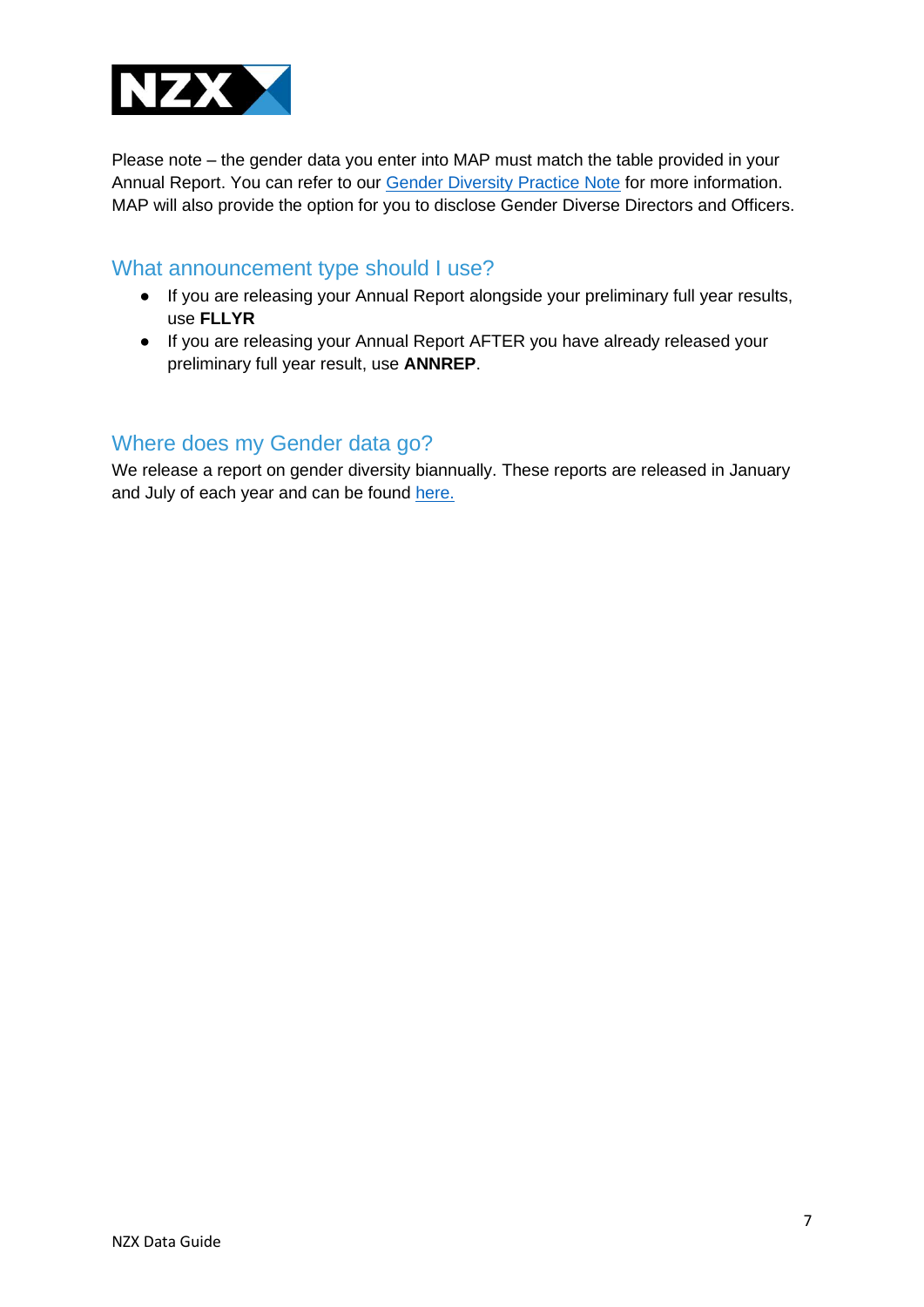

Please note – the gender data you enter into MAP must match the table provided in your Annual Report. You can refer to our [Gender Diversity Practice Note](https://nzx-prod-c84t3un4.s3.ap-southeast-2.amazonaws.com/AVFsoE8YdrTREY2ANL3zwSmv?response-content-disposition=inline%3B%20filename%3D%22Practice%20Note%20-%20Gender%20Diversity.pdf%22%3B%20filename%2A%3DUTF-8%27%27Practice%2520Note%2520-%2520Gender%2520Diversity.pdf&response-content-type=application%2Fpdf&X-Amz-Algorithm=AWS4-HMAC-SHA256&X-Amz-Credential=AKIA2NFHJDRLNWWMDHPT%2F20210818%2Fap-southeast-2%2Fs3%2Faws4_request&X-Amz-Date=20210818T225029Z&X-Amz-Expires=300&X-Amz-SignedHeaders=host&X-Amz-Signature=1079715518e4b6c1b4151fcc4244e3fdd03de7f584d5ac896a7258edf4ca4bbe) for more information. MAP will also provide the option for you to disclose Gender Diverse Directors and Officers.

#### What announcement type should I use?

- If you are releasing your Annual Report alongside your preliminary full year results, use **FLLYR**
- If you are releasing your Annual Report AFTER you have already released your preliminary full year result, use **ANNREP**.

### Where does my Gender data go?

We release a report on gender diversity biannually. These reports are released in January and July of each year and can be found [here.](https://www.nzx.com/regulation/nzregco/diversity-statistics)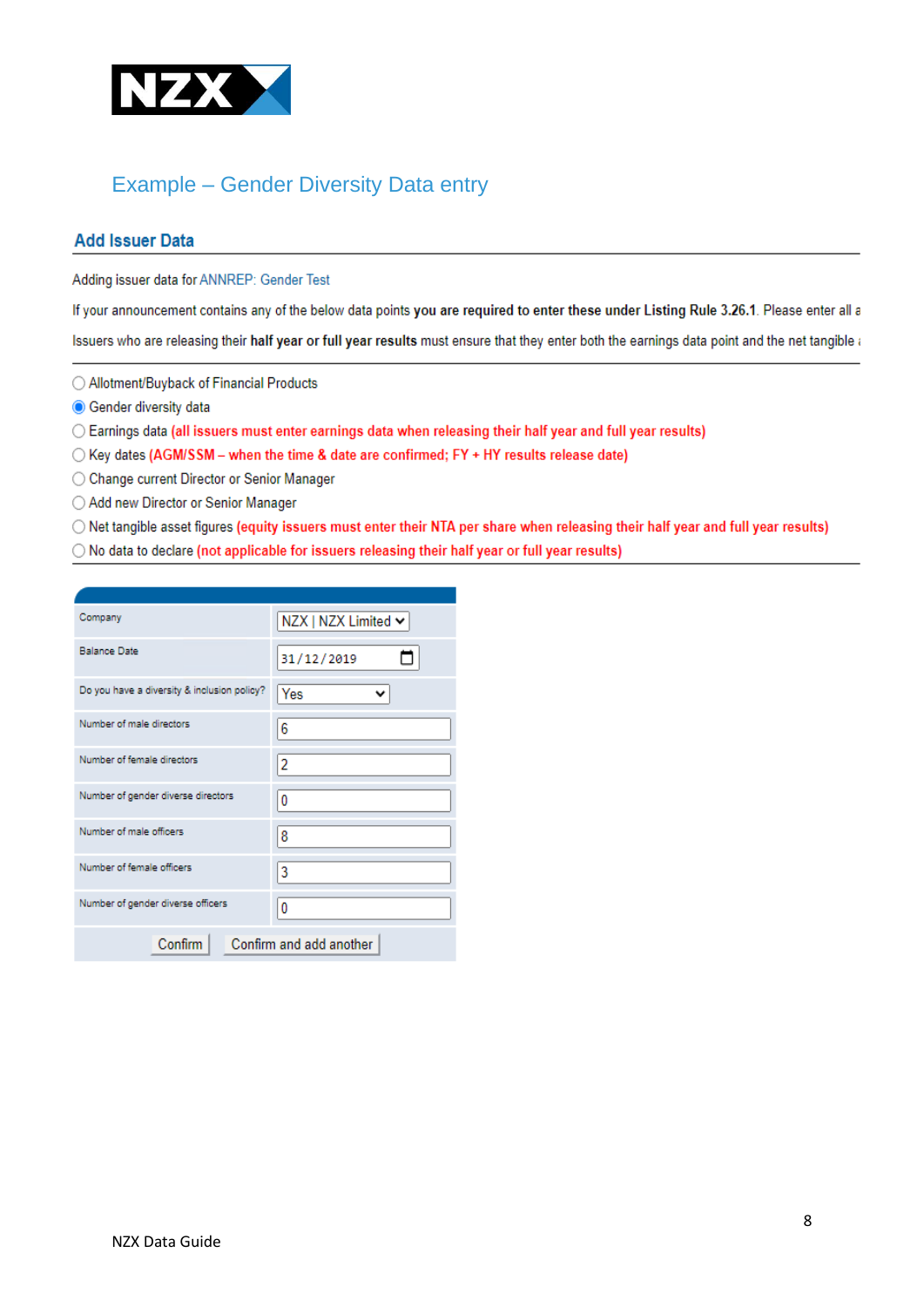

# Example – Gender Diversity Data entry

#### **Add Issuer Data**

Adding issuer data for ANNREP: Gender Test

If your announcement contains any of the below data points you are required to enter these under Listing Rule 3.26.1. Please enter all a

Issuers who are releasing their half year or full year results must ensure that they enter both the earnings data point and the net tangible a

◯ Allotment/Buyback of Financial Products

**O** Gender diversity data

◯ Earnings data (all issuers must enter earnings data when releasing their half year and full year results)

◯ Key dates (AGM/SSM - when the time & date are confirmed; FY + HY results release date)

◯ Change current Director or Senior Manager

◯ Add new Director or Senior Manager

○ Net tangible asset figures (equity issuers must enter their NTA per share when releasing their half year and full year results)

○ No data to declare (not applicable for issuers releasing their half year or full year results)

| Company                                     | NZX   NZX Limited ↓ |  |  |  |  |
|---------------------------------------------|---------------------|--|--|--|--|
| <b>Balance Date</b>                         | 31/12/2019          |  |  |  |  |
| Do you have a diversity & inclusion policy? | Yes                 |  |  |  |  |
| Number of male directors                    | 6                   |  |  |  |  |
| Number of female directors                  | 2                   |  |  |  |  |
| Number of gender diverse directors          | 0                   |  |  |  |  |
| Number of male officers                     | 8                   |  |  |  |  |
| Number of female officers                   | 3                   |  |  |  |  |
| Number of gender diverse officers           | 0                   |  |  |  |  |
| Confirm<br>Confirm and add another          |                     |  |  |  |  |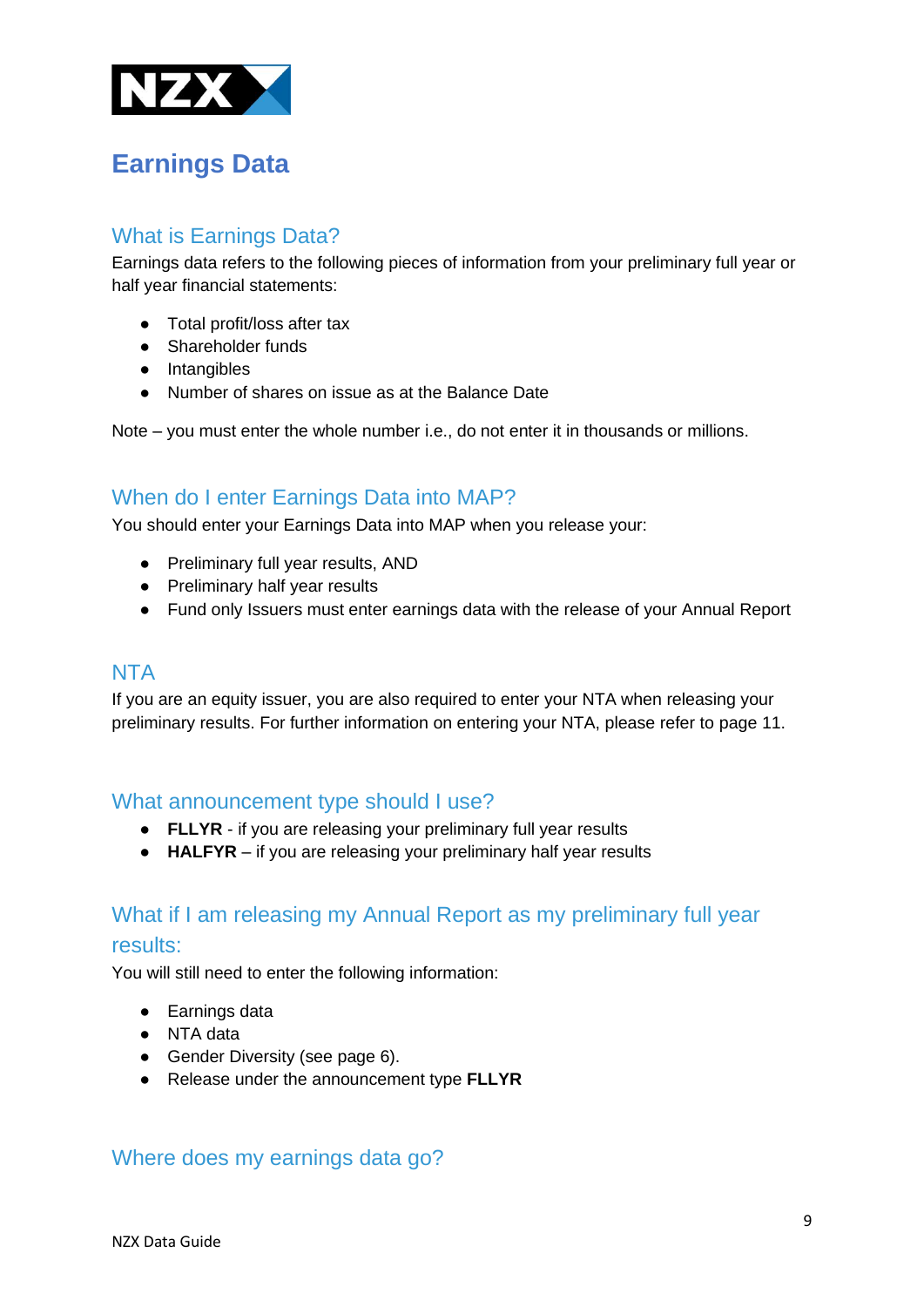

# <span id="page-8-0"></span>**Earnings Data**

### What is Earnings Data?

Earnings data refers to the following pieces of information from your preliminary full year or half year financial statements:

- Total profit/loss after tax
- Shareholder funds
- Intangibles
- Number of shares on issue as at the Balance Date

Note – you must enter the whole number i.e., do not enter it in thousands or millions.

### When do I enter Earnings Data into MAP?

You should enter your Earnings Data into MAP when you release your:

- Preliminary full year results, AND
- Preliminary half year results
- Fund only Issuers must enter earnings data with the release of your Annual Report

#### NTA

If you are an equity issuer, you are also required to enter your NTA when releasing your preliminary results. For further information on entering your NTA, please refer to page 11.

#### What announcement type should I use?

- **FLLYR**  if you are releasing your preliminary full year results
- **HALFYR**  if you are releasing your preliminary half year results

### What if I am releasing my Annual Report as my preliminary full year

#### results:

You will still need to enter the following information:

- Earnings data
- NTA data
- Gender Diversity (see page 6).
- Release under the announcement type **FLLYR**

### Where does my earnings data go?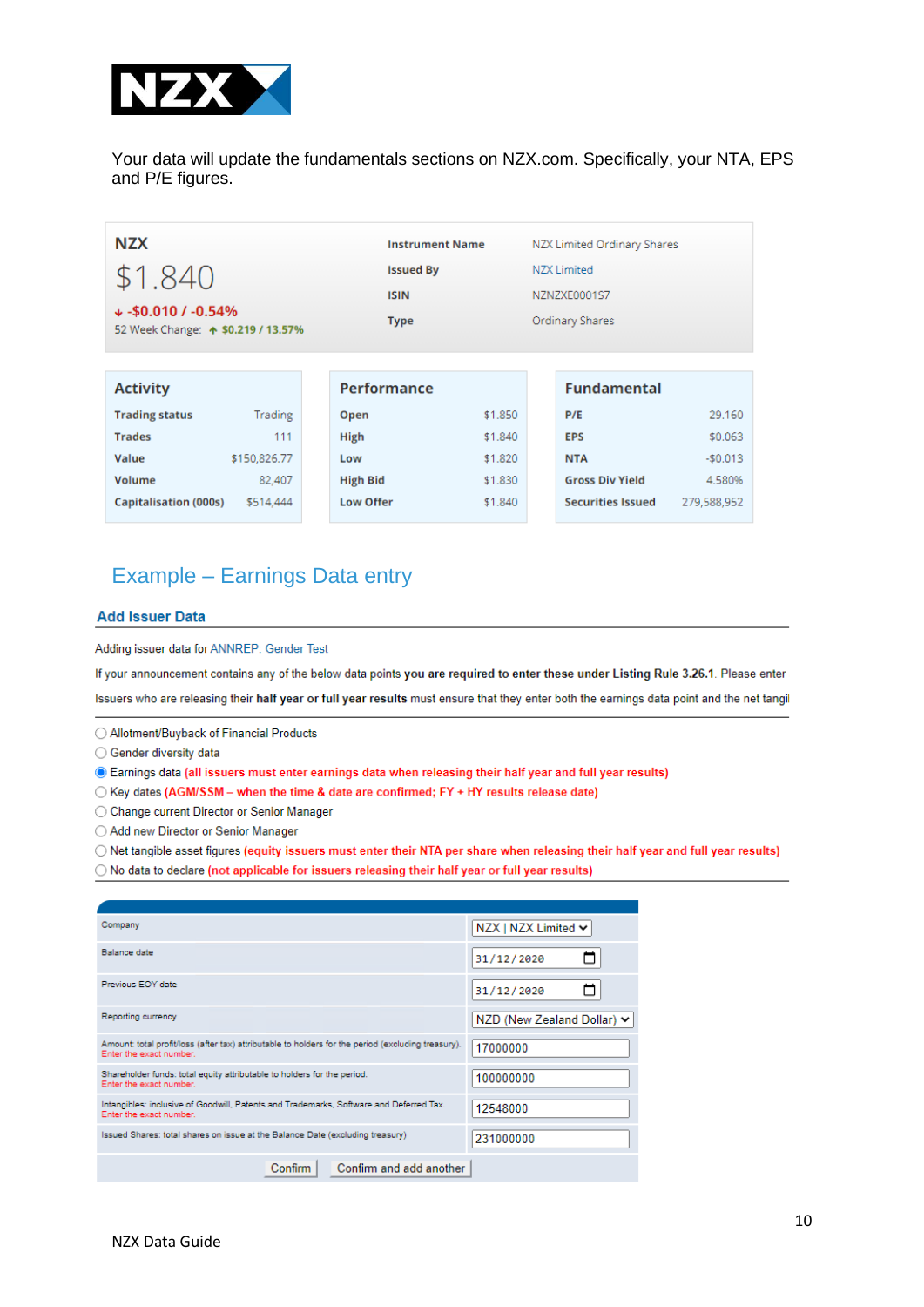

Your data will update the fundamentals sections on NZX.com. Specifically, your NTA, EPS and P/E figures.

| <b>NZX</b>                                                                    |              |             |                  | <b>Instrument Name</b> |                    | NZX Limited Ordinary Shares |             |
|-------------------------------------------------------------------------------|--------------|-------------|------------------|------------------------|--------------------|-----------------------------|-------------|
| \$1.840                                                                       |              |             | <b>Issued By</b> |                        | <b>NZX Limited</b> |                             |             |
|                                                                               |              | <b>ISIN</b> |                  | NZNZXE0001S7           |                    |                             |             |
| $\sqrt{2}$ -\$0.010 / -0.54%<br>52 Week Change: $\spadesuit$ \$0.219 / 13.57% |              | <b>Type</b> | Ordinary Shares  |                        |                    |                             |             |
|                                                                               |              |             |                  |                        |                    |                             |             |
| <b>Activity</b>                                                               |              |             | Performance      |                        |                    | <b>Fundamental</b>          |             |
| <b>Trading status</b>                                                         | Trading      |             | Open             | \$1,850                |                    | P/E                         | 29,160      |
| <b>Trades</b>                                                                 | 111          |             | High             | \$1,840                |                    | <b>EPS</b>                  | \$0.063     |
| Value                                                                         | \$150,826.77 |             | Low              | \$1,820                |                    | <b>NTA</b>                  | $-$0.013$   |
| Volume                                                                        | 82,407       |             | <b>High Bid</b>  | \$1,830                |                    | <b>Gross Div Yield</b>      | 4.580%      |
| <b>Capitalisation (000s)</b>                                                  | \$514,444    |             | <b>Low Offer</b> | \$1,840                |                    | <b>Securities Issued</b>    | 279,588,952 |

## Example – Earnings Data entry

#### **Add Issuer Data**

Adding issuer data for ANNREP: Gender Test

If your announcement contains any of the below data points you are required to enter these under Listing Rule 3.26.1. Please enter Issuers who are releasing their half year or full year results must ensure that they enter both the earnings data point and the net tangil

◯ Allotment/Buyback of Financial Products

◯ Gender diversity data

· Earnings data (all issuers must enter earnings data when releasing their half year and full year results)

 $\bigcirc$  Key dates (AGM/SSM - when the time & date are confirmed; FY + HY results release date)

O Change current Director or Senior Manager

◯ Add new Director or Senior Manager

O Net tangible asset figures (equity issuers must enter their NTA per share when releasing their half year and full year results)

◯ No data to declare (not applicable for issuers releasing their half year or full year results)

| Company                                                                                                                       | NZX   NZX Limited ↓        |
|-------------------------------------------------------------------------------------------------------------------------------|----------------------------|
| <b>Balance date</b>                                                                                                           | 31/12/2020                 |
| Previous EOY date                                                                                                             | 31/12/2020                 |
| Reporting currency                                                                                                            | NZD (New Zealand Dollar) ↓ |
| Amount: total profit/loss (after tax) attributable to holders for the period (excluding treasury).<br>Enter the exact number. | 17000000                   |
| Shareholder funds: total equity attributable to holders for the period.<br>Enter the exact number.                            | 100000000                  |
| Intangibles: inclusive of Goodwill, Patents and Trademarks, Software and Deferred Tax.<br>Enter the exact number.             | 12548000                   |
| Issued Shares: total shares on issue at the Balance Date (excluding treasury)                                                 | 231000000                  |
| Confirm and add another<br><b>Confirm</b>                                                                                     |                            |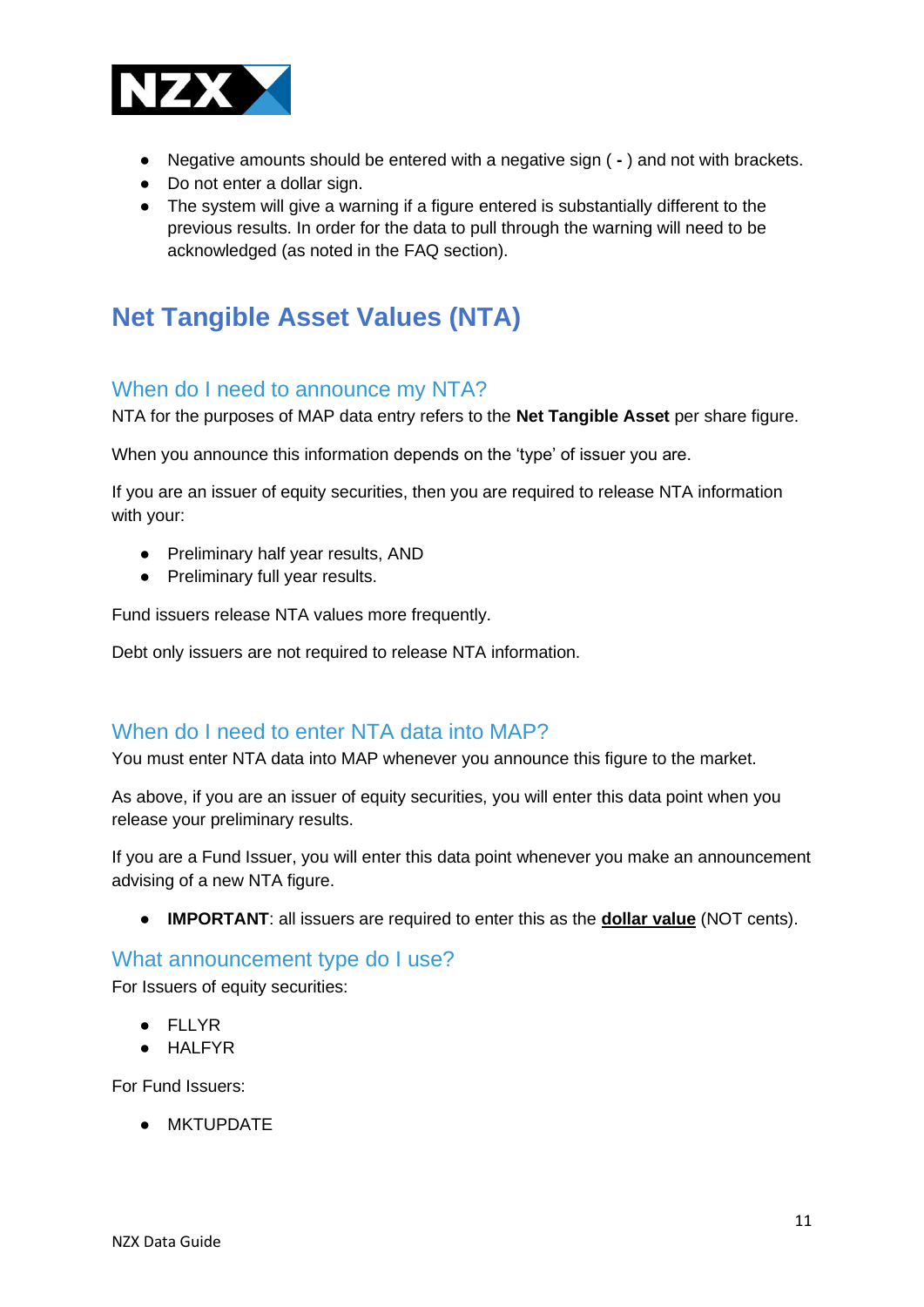

- Negative amounts should be entered with a negative sign ( **-** ) and not with brackets.
- Do not enter a dollar sign.
- The system will give a warning if a figure entered is substantially different to the previous results. In order for the data to pull through the warning will need to be acknowledged (as noted in the FAQ section).

# <span id="page-10-0"></span>**Net Tangible Asset Values (NTA)**

#### When do I need to announce my NTA?

NTA for the purposes of MAP data entry refers to the **Net Tangible Asset** per share figure.

When you announce this information depends on the 'type' of issuer you are.

If you are an issuer of equity securities, then you are required to release NTA information with your:

- Preliminary half year results, AND
- Preliminary full year results.

Fund issuers release NTA values more frequently.

Debt only issuers are not required to release NTA information.

### When do I need to enter NTA data into MAP?

You must enter NTA data into MAP whenever you announce this figure to the market.

As above, if you are an issuer of equity securities, you will enter this data point when you release your preliminary results.

If you are a Fund Issuer, you will enter this data point whenever you make an announcement advising of a new NTA figure.

● **IMPORTANT**: all issuers are required to enter this as the **dollar value** (NOT cents).

#### What announcement type do I use?

For Issuers of equity securities:

- FLLYR
- HALFYR

For Fund Issuers:

● MKTUPDATE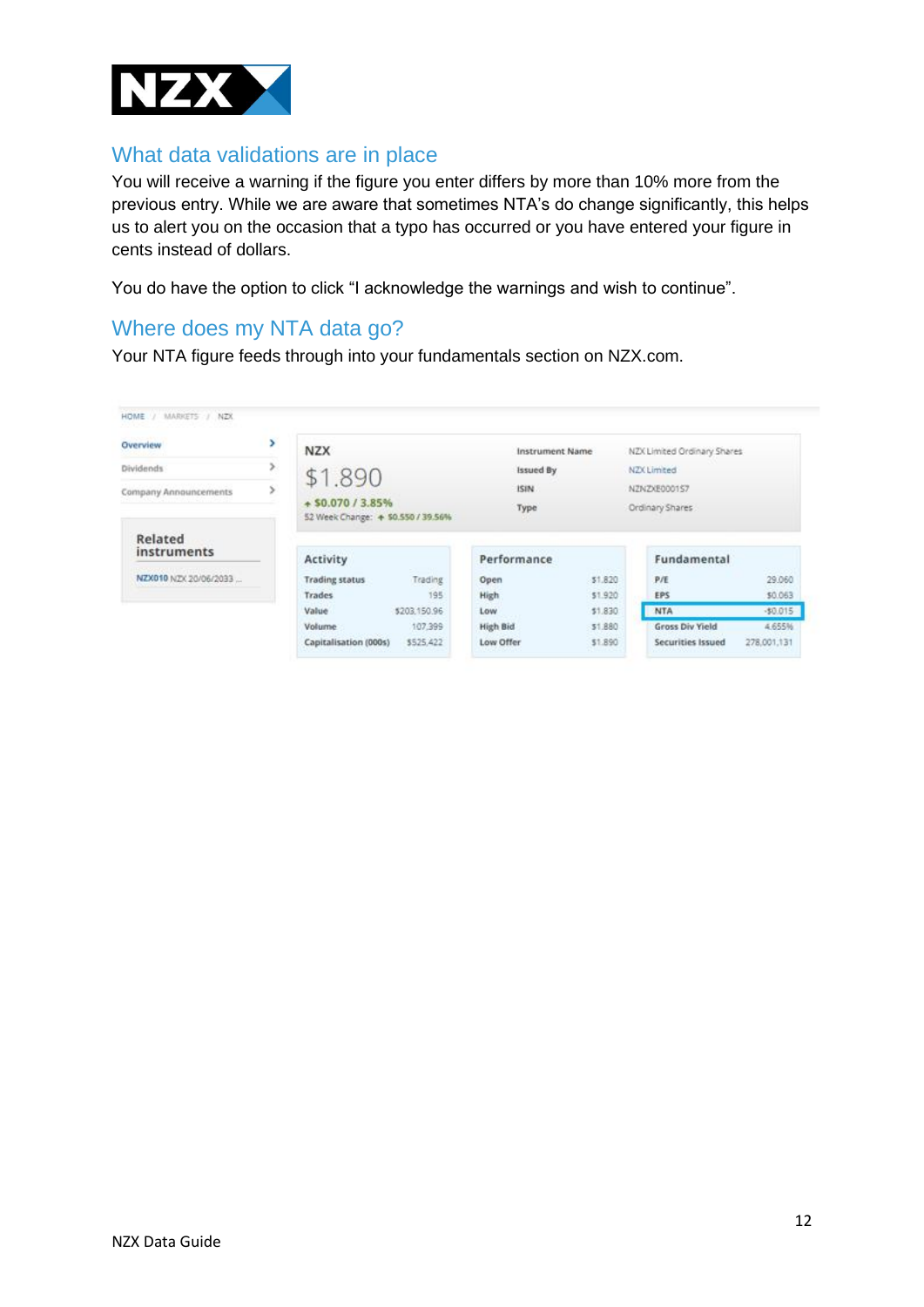

### What data validations are in place

You will receive a warning if the figure you enter differs by more than 10% more from the previous entry. While we are aware that sometimes NTA's do change significantly, this helps us to alert you on the occasion that a typo has occurred or you have entered your figure in cents instead of dollars.

You do have the option to click "I acknowledge the warnings and wish to continue".

### Where does my NTA data go?

Your NTA figure feeds through into your fundamentals section on NZX.com.

| Overview               | ×<br><b>NZX</b>                                         | Instrument Name  | NZX Limited Ordinary Shares |
|------------------------|---------------------------------------------------------|------------------|-----------------------------|
| Dividends              | \$1,890                                                 | <b>Issued By</b> | NZX Limited                 |
| Company Announcements  | s                                                       | ISIN.            | NZNZXE000157                |
|                        | + \$0.070 / 3.85%<br>52 Week Change: + \$0.550 / 39.56% | Type             | Ordinary Shares             |
| Related<br>instruments | Activity                                                | Performance      | Fundamental                 |
| NZX010 NZX 20/06/2033  | <b>Trading status</b>                                   | \$1,820          | P/E                         |
|                        | Trading                                                 | Open             | 29.060                      |
|                        | 195                                                     | \$1,920          | \$0.063                     |
|                        | <b>Trades</b>                                           | High             | <b>EPS</b>                  |
|                        | \$203,150.96                                            | \$1,830          | $-50.015$                   |
|                        | Value                                                   | Low              | <b>NTA</b>                  |
|                        | 107.399                                                 | High Bid         | <b>Gross Div Yield</b>      |
|                        | Volume:                                                 | \$1,880          | 4.655%                      |
|                        | Capitalisation (000s)                                   | Low Offer        | Securities Issued           |
|                        | \$525,422                                               | \$1,890          | 278.001.131                 |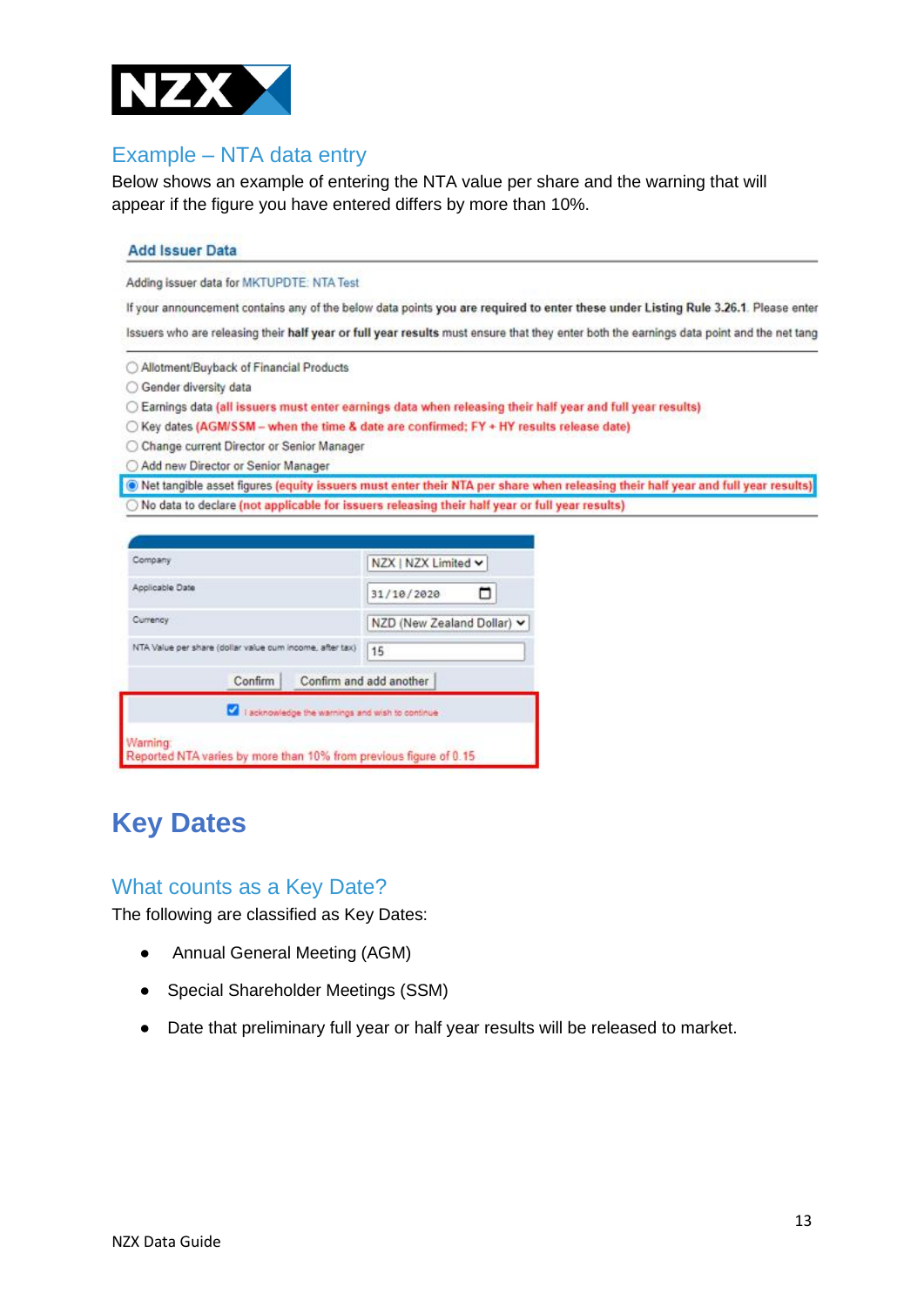

### Example – NTA data entry

Below shows an example of entering the NTA value per share and the warning that will appear if the figure you have entered differs by more than 10%.

#### **Add Issuer Data**

Adding issuer data for MKTUPDTE: NTA Test

If your announcement contains any of the below data points you are required to enter these under Listing Rule 3.26.1. Please enter Issuers who are releasing their half year or full year results must ensure that they enter both the earnings data point and the net tang

○ Allotment/Buyback of Financial Products

○ Gender diversity data

○ Earnings data (all issuers must enter earnings data when releasing their half year and full year results)

- Key dates (AGM/SSM -- when the time & date are confirmed; FY + HY results release date)
- C Change current Director or Senior Manager
- Add new Director or Senior Manager

Net tangible asset figures (equity issuers must enter their NTA per share when releasing their half year and full year results) O No data to declare (not applicable for issuers releasing their half year or full year results)

<span id="page-12-0"></span>

| Company                                                                       | NZX   NZX Limited ~        |
|-------------------------------------------------------------------------------|----------------------------|
| Applicable Date                                                               | 31/10/2020                 |
| Currency                                                                      | NZD (New Zealand Dollar) v |
| NTA Value per share (dollar value cum income, after tax)                      | 15                         |
| Confirm                                                                       | Confirm and add another    |
| I acknowledge the warnings and wish to continue                               |                            |
| Warning:<br>Reported NTA varies by more than 10% from previous figure of 0.15 |                            |

# **Key Dates**

#### What counts as a Key Date?

The following are classified as Key Dates:

- Annual General Meeting (AGM)
- Special Shareholder Meetings (SSM)
- Date that preliminary full year or half year results will be released to market.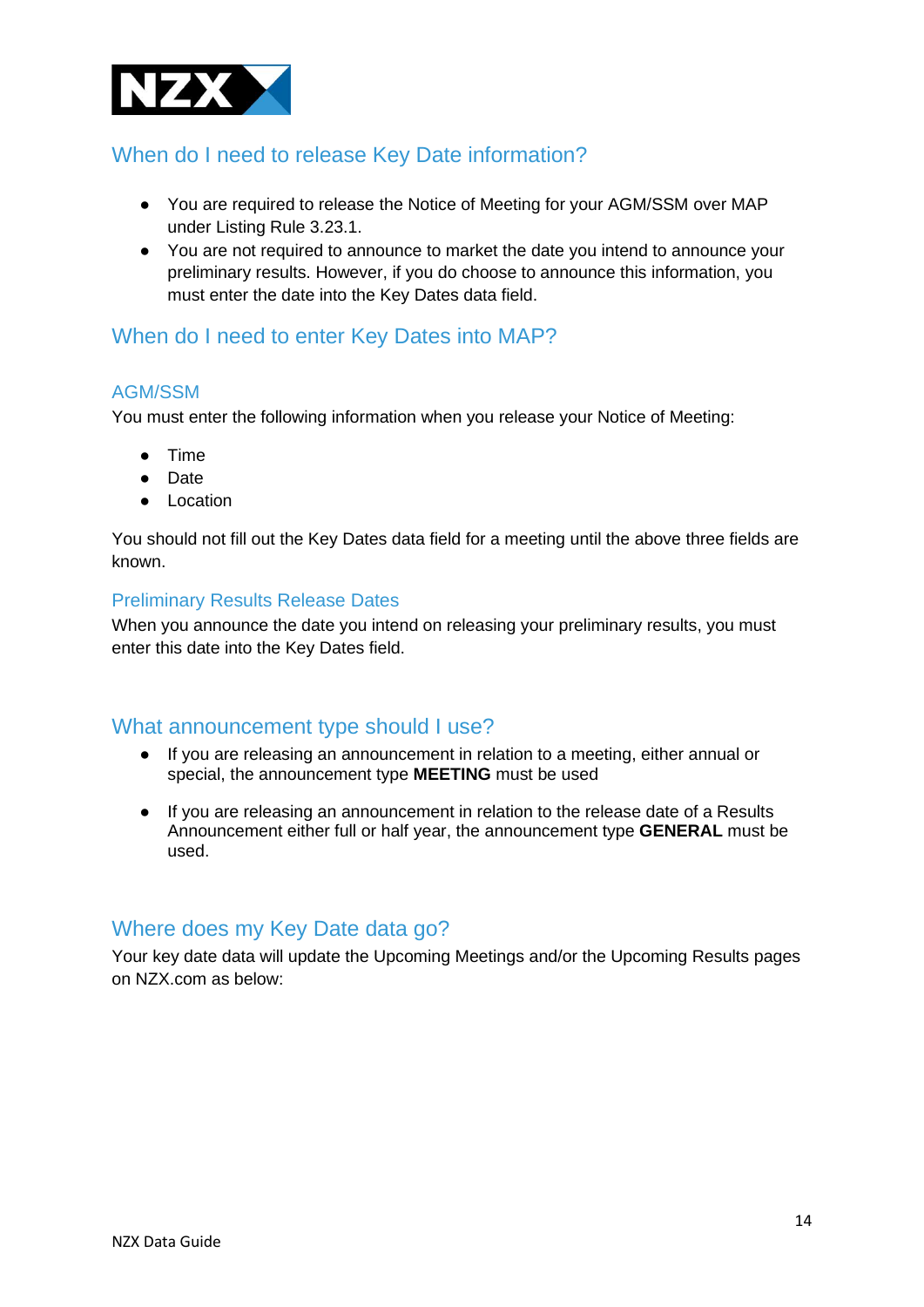

# When do I need to release Key Date information?

- You are required to release the Notice of Meeting for your AGM/SSM over MAP under Listing Rule 3.23.1.
- You are not required to announce to market the date you intend to announce your preliminary results. However, if you do choose to announce this information, you must enter the date into the Key Dates data field.

### When do I need to enter Key Dates into MAP?

#### AGM/SSM

You must enter the following information when you release your Notice of Meeting:

- Time
- Date
- Location

You should not fill out the Key Dates data field for a meeting until the above three fields are known.

#### Preliminary Results Release Dates

When you announce the date you intend on releasing your preliminary results, you must enter this date into the Key Dates field.

#### What announcement type should I use?

- If you are releasing an announcement in relation to a meeting, either annual or special, the announcement type **MEETING** must be used
- If you are releasing an announcement in relation to the release date of a Results Announcement either full or half year, the announcement type **GENERAL** must be used.

#### Where does my Key Date data go?

Your key date data will update the Upcoming Meetings and/or the Upcoming Results pages on NZX.com as below: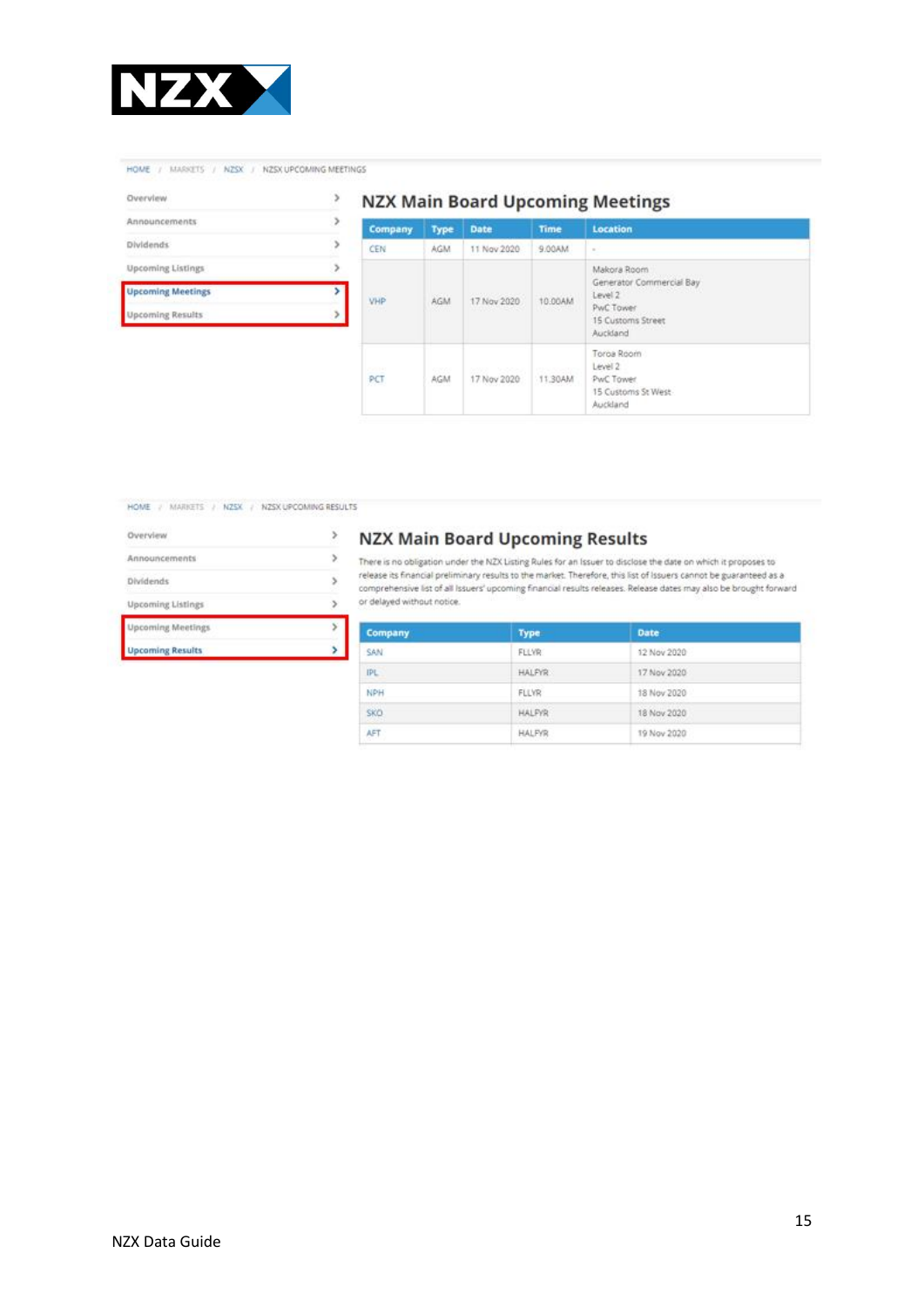

HOME / MARKETS / NZSX / NZSX UPCOMING MEETINGS

| Overvlew                 |  |
|--------------------------|--|
| Announcements            |  |
| <b>Dividends</b>         |  |
| <b>Upcoming Listings</b> |  |
| <b>Upcoming Meetings</b> |  |
| <b>Upcoming Results</b>  |  |

#### **NZX Main Board Upcoming Meetings**

| <b>Company</b>                | Type                | <b>Date</b>                                 | <b>Time</b>             | Location                                                                                         |
|-------------------------------|---------------------|---------------------------------------------|-------------------------|--------------------------------------------------------------------------------------------------|
| CEN                           | <b>AGM</b>          | 11 Nov 2020                                 | MA00.9                  | $\alpha$                                                                                         |
| <b>SOUTHERN</b><br>VHP<br>22. | AGM<br>88.4m        | <b>CONTRACTOR</b> CONTRACTOR<br>17 Nov 2020 | 10.00AM<br>wasan        | Makora Room<br>Generator Commercial Bay<br>Level 2<br>PwC Tower<br>15 Customs Street<br>Auckland |
| 250141<br>PCT                 | <b>CONCO</b><br>AGM | and reads<br>17 Nov 2020                    | <b>THEFT</b><br>11,30AM | Toros Room<br>Level 2<br>PwC Tower<br>15 Customs St West<br>Auckland                             |

HOME / MARKETS / NZSX / NZSX UPCOMING RESULTS

| <b>Upcoming Results</b>  |  |
|--------------------------|--|
| Jpcoming Meetings        |  |
| <b>Upcoming Listings</b> |  |
| Dividends                |  |
| Announcements            |  |
| Overview                 |  |

#### **NZX Main Board Upcoming Results**

 $\blacktriangleright$  There is no obligation under the NZX Listing Rules for an Issuer to disclose the date on which it proposes to release its financial preliminary results to the market. Therefore, this list of Issuers cannot be guaranteed as a<br>comprehensive list of all Issuers' upcoming financial results releases. Release dates may also be brought f or delayed without notice.

| Company    | <b>Type</b>   | Date        |  |
|------------|---------------|-------------|--|
| SAN:       | FLLVR.        | 12 Nov 2020 |  |
| IPL        | <b>HALFYR</b> | 17 Nov 2020 |  |
| <b>NPH</b> | <b>FLLVR</b>  | 18 Nov 2020 |  |
| SKO-       | <b>HALPYR</b> | 18 Nov 2020 |  |
| AFT        | <b>HALFYR</b> | 19 Nov 2020 |  |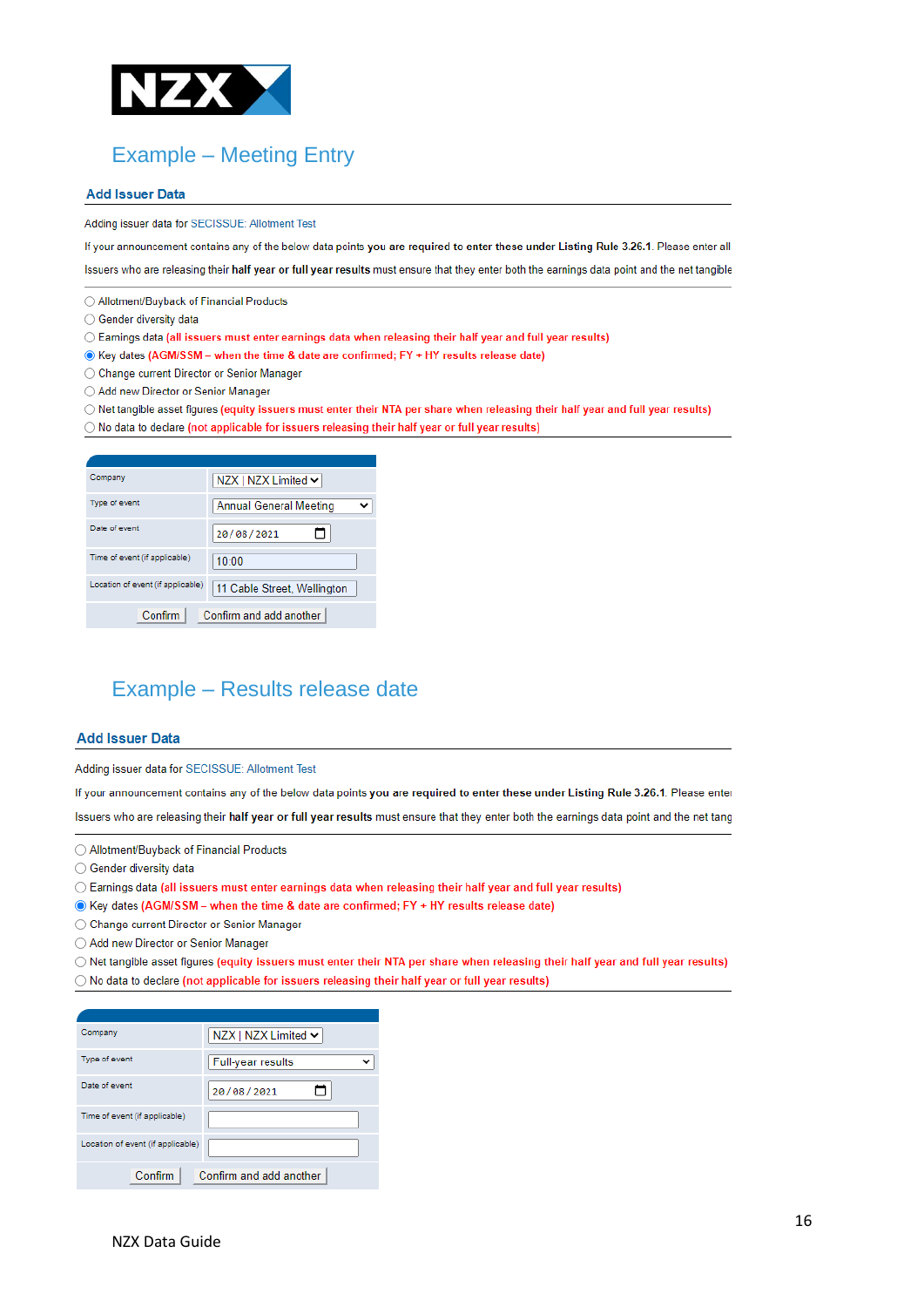

# Example – Meeting Entry

#### **Add Issuer Data**

Adding issuer data for SECISSUE: Allotment Test

If your announcement contains any of the below data points you are required to enter these under Listing Rule 3.26.1. Please enter all

Issuers who are releasing their half year or full year results must ensure that they enter both the earnings data point and the net tangible

- Allotment/Buyback of Financial Products
- Gender diversity data
- Earnings data (all issuers must enter earnings data when releasing their half year and full year results)
- C Key dates (AGM/SSM when the time & date are confirmed; FY + HY results release date)
- ◯ Change current Director or Senior Manager
- ◯ Add new Director or Senior Manager
- O Net tangible asset figures (equity issuers must enter their NTA per share when releasing their half year and full year results)
- O No data to declare (not applicable for issuers releasing their half year or full year results)

| Company                           | NZX   NZX Limited ↓         |
|-----------------------------------|-----------------------------|
| Type of event                     | Annual General Meeting      |
| Date of event                     | 20/08/2021                  |
| Time of event (if applicable)     | 10:00                       |
| Location of event (if applicable) | 11 Cable Street, Wellington |
| Confirm                           | Confirm and add another     |

### Example – Results release date

#### **Add Issuer Data**

Adding issuer data for SECISSUE: Allotment Test

If your announcement contains any of the below data points you are required to enter these under Listing Rule 3.26.1. Please enter

Issuers who are releasing their half year or full year results must ensure that they enter both the earnings data point and the net tang

- ◯ Allotment/Buyback of Financial Products
- Gender diversity data
- ◯ Earnings data (all issuers must enter earnings data when releasing their half year and full year results)
- C Key dates (AGM/SSM when the time & date are confirmed; FY + HY results release date)
- ◯ Change current Director or Senior Manager
- Add new Director or Senior Manager

O Net tangible asset figures (equity issuers must enter their NTA per share when releasing their half year and full year results) O No data to declare (not applicable for issuers releasing their half year or full year results)

| Company                           | NZX   NZX Limited $\sim$ |
|-----------------------------------|--------------------------|
| Type of event                     | Full-year results        |
| Date of event                     | 20/08/2021               |
| Time of event (if applicable)     |                          |
| Location of event (if applicable) |                          |
| Confirm                           | Confirm and add another  |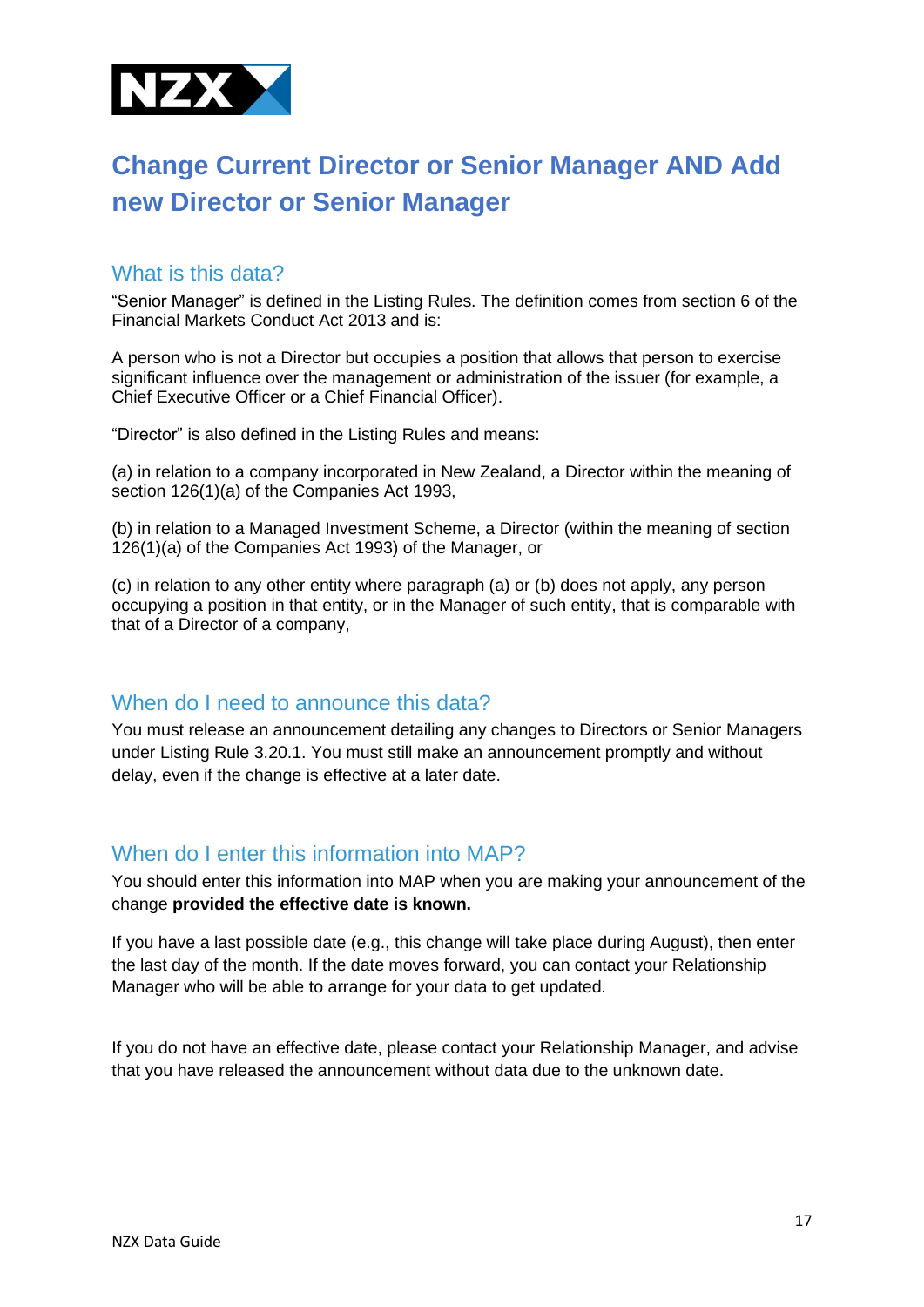

# <span id="page-16-0"></span>**Change Current Director or Senior Manager AND Add new Director or Senior Manager**

#### What is this data?

"Senior Manager" is defined in the Listing Rules. The definition comes from section 6 of the Financial Markets Conduct Act 2013 and is:

A person who is not a Director but occupies a position that allows that person to exercise significant influence over the management or administration of the issuer (for example, a Chief Executive Officer or a Chief Financial Officer).

"Director" is also defined in the Listing Rules and means:

(a) in relation to a company incorporated in New Zealand, a Director within the meaning of section 126(1)(a) of the Companies Act 1993.

(b) in relation to a Managed Investment Scheme, a Director (within the meaning of section 126(1)(a) of the Companies Act 1993) of the Manager, or

(c) in relation to any other entity where paragraph (a) or (b) does not apply, any person occupying a position in that entity, or in the Manager of such entity, that is comparable with that of a Director of a company,

#### When do I need to announce this data?

You must release an announcement detailing any changes to Directors or Senior Managers under Listing Rule 3.20.1. You must still make an announcement promptly and without delay, even if the change is effective at a later date.

#### When do I enter this information into MAP?

You should enter this information into MAP when you are making your announcement of the change **provided the effective date is known.** 

If you have a last possible date (e.g., this change will take place during August), then enter the last day of the month. If the date moves forward, you can contact your Relationship Manager who will be able to arrange for your data to get updated.

If you do not have an effective date, please contact your Relationship Manager, and advise that you have released the announcement without data due to the unknown date.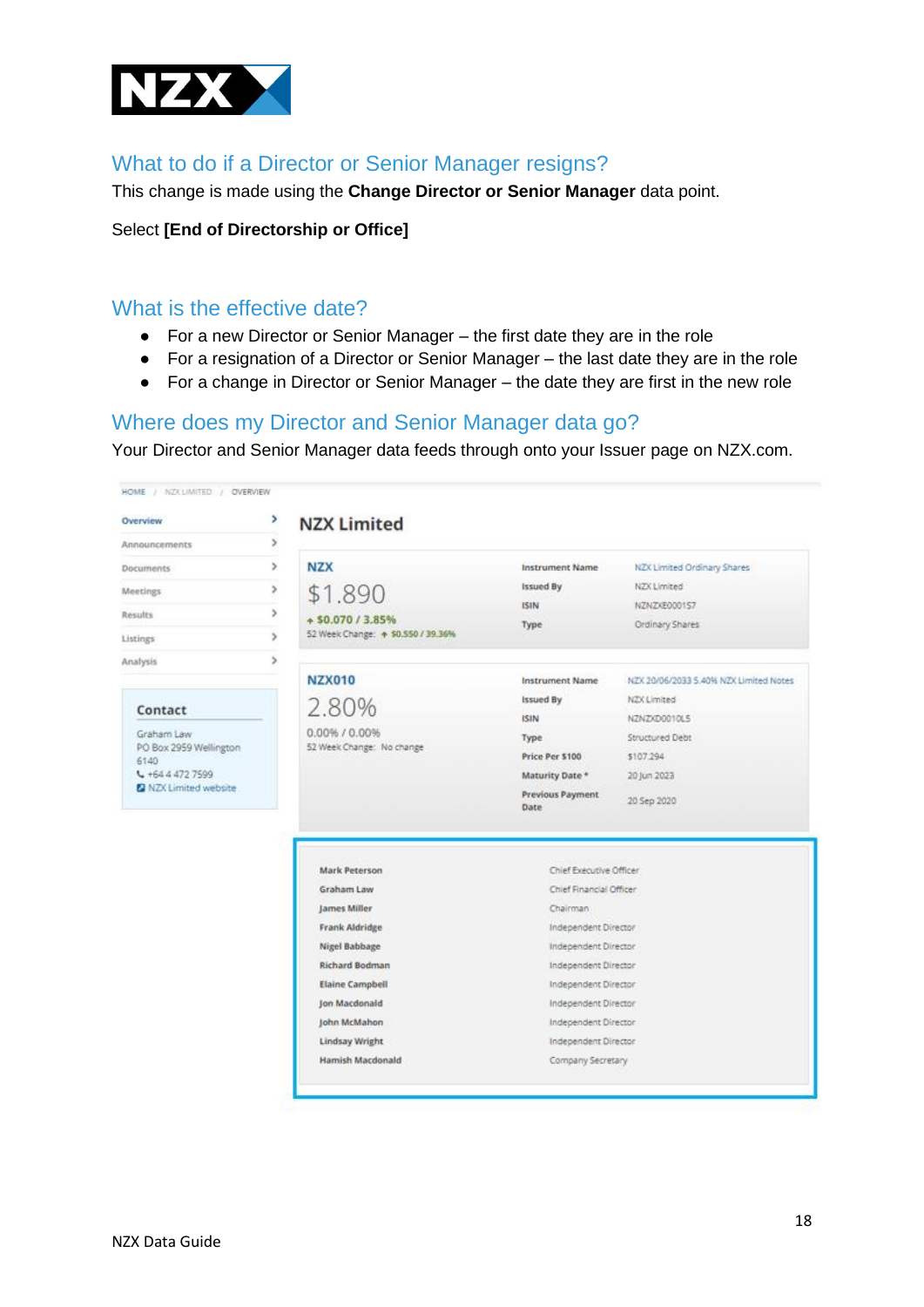

### What to do if a Director or Senior Manager resigns?

This change is made using the **Change Director or Senior Manager** data point.

#### Select **[End of Directorship or Office]**

#### What is the effective date?

- For a new Director or Senior Manager the first date they are in the role
- For a resignation of a Director or Senior Manager the last date they are in the role
- For a change in Director or Senior Manager the date they are first in the new role

#### Where does my Director and Senior Manager data go?

Your Director and Senior Manager data feeds through onto your Issuer page on NZX.com.

| Overview                       | ٠             | <b>NZX Limited</b>                                                                                                                                   |                                                                                                                                                                                                                |                                        |
|--------------------------------|---------------|------------------------------------------------------------------------------------------------------------------------------------------------------|----------------------------------------------------------------------------------------------------------------------------------------------------------------------------------------------------------------|----------------------------------------|
| Announcements                  | ×             |                                                                                                                                                      |                                                                                                                                                                                                                |                                        |
| <b>Documents</b>               | ×             | <b>NZX</b>                                                                                                                                           | <b>Instrument Name</b>                                                                                                                                                                                         | NZX Limited Ordinary Shares            |
| <b>Meetings</b>                | ×             | \$1.890                                                                                                                                              | <b>Issued By</b>                                                                                                                                                                                               | NZX Limited                            |
| <b>Results</b>                 | ×             | + \$0.070 / 3.85%                                                                                                                                    | ISIN                                                                                                                                                                                                           | NZNZXE0001S7                           |
| Listings                       | $\rightarrow$ | 52 Week Change: + \$0.550 / 39.36%                                                                                                                   | Type                                                                                                                                                                                                           | Ordinary Shares                        |
| Analysis                       | s.            |                                                                                                                                                      |                                                                                                                                                                                                                |                                        |
|                                |               | <b>NZX010</b>                                                                                                                                        | <b>Instrument Name</b>                                                                                                                                                                                         | NZX 20/06/2033 5.40% NZX Limited Notes |
|                                |               | 2.80%                                                                                                                                                | Issued By                                                                                                                                                                                                      | NZX Limited                            |
| Contact                        |               |                                                                                                                                                      | ISIN                                                                                                                                                                                                           | NZNZXD0010L5                           |
| Graham Law                     |               | 0.00% / 0.00%                                                                                                                                        | Type                                                                                                                                                                                                           | Structured Debt                        |
| PO Box 2959 Wellington<br>6140 |               | 52 Week Change: No change                                                                                                                            | Price Per \$100                                                                                                                                                                                                | \$107.294                              |
| $L + 64.4.472.7599$            |               |                                                                                                                                                      | Maturity Date *                                                                                                                                                                                                | 20 Jun 2023                            |
| 2 NZX Limited website          |               |                                                                                                                                                      | Previous Payment<br>Date                                                                                                                                                                                       | 20 Sep 2020                            |
|                                |               | Mark Peterson<br>Graham Law<br>James Miller<br>Frank Aldridge<br>Nigel Babbage<br>Richard Bodman<br>Elaine Campbell<br>Ion Macdonald<br>John McMahon | Chief Executive Officer<br>Chief Financial Officer<br>Chairman<br>Independent Director<br>Independent Director<br>Independent Director<br>Independent Director<br>Independent Director<br>Independent Director |                                        |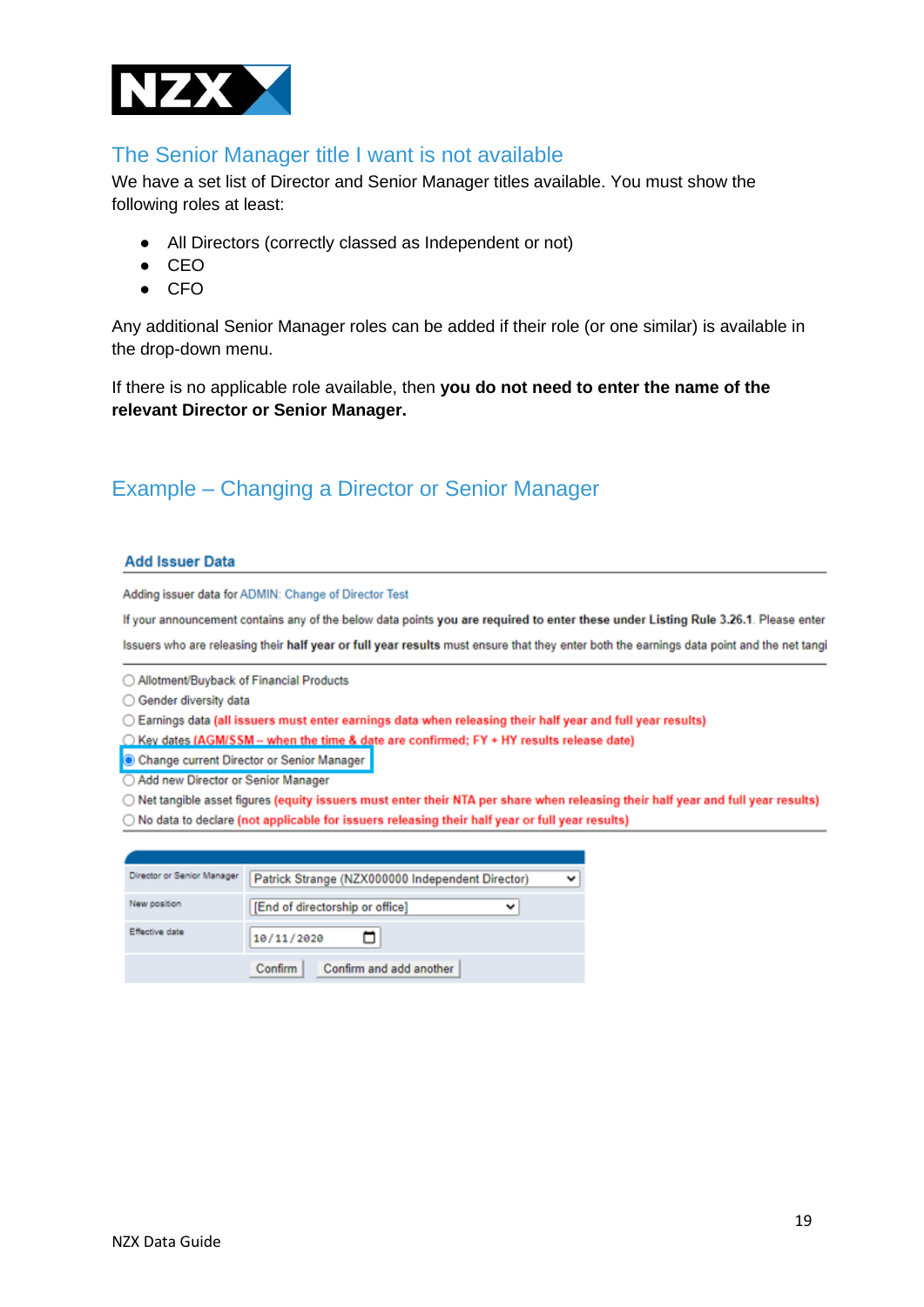

#### The Senior Manager title I want is not available

We have a set list of Director and Senior Manager titles available. You must show the following roles at least:

- All Directors (correctly classed as Independent or not)
- CEO
- CFO

Any additional Senior Manager roles can be added if their role (or one similar) is available in the drop-down menu.

If there is no applicable role available, then **you do not need to enter the name of the relevant Director or Senior Manager.** 

## Example – Changing a Director or Senior Manager

#### **Add Issuer Data**

Adding issuer data for ADMIN: Change of Director Test

If your announcement contains any of the below data points you are required to enter these under Listing Rule 3.26.1. Please enter Issuers who are releasing their half year or full year results must ensure that they enter both the earnings data point and the net tangi

◯ Allotment/Buvback of Financial Products

◯ Gender diversity data

○ Earnings data (all issuers must enter earnings data when releasing their half year and full year results)

◯ Key dates (AGM/SSM - when the time & date are confirmed: FY + HY results release date)

Change current Director or Senior Manager

Add new Director or Senior Manager

O Net tangible asset figures (equity issuers must enter their NTA per share when releasing their half year and full year results)

○ No data to declare (not applicable for issuers releasing their half year or full year results)

| Director or Senior Manager | Patrick Strange (NZX000000 Independent Director) |  |
|----------------------------|--------------------------------------------------|--|
| New position               | [End of directorship or office]<br>v             |  |
| Effective date             | 10/11/2020                                       |  |
|                            | Confirm and add another<br>Confirm               |  |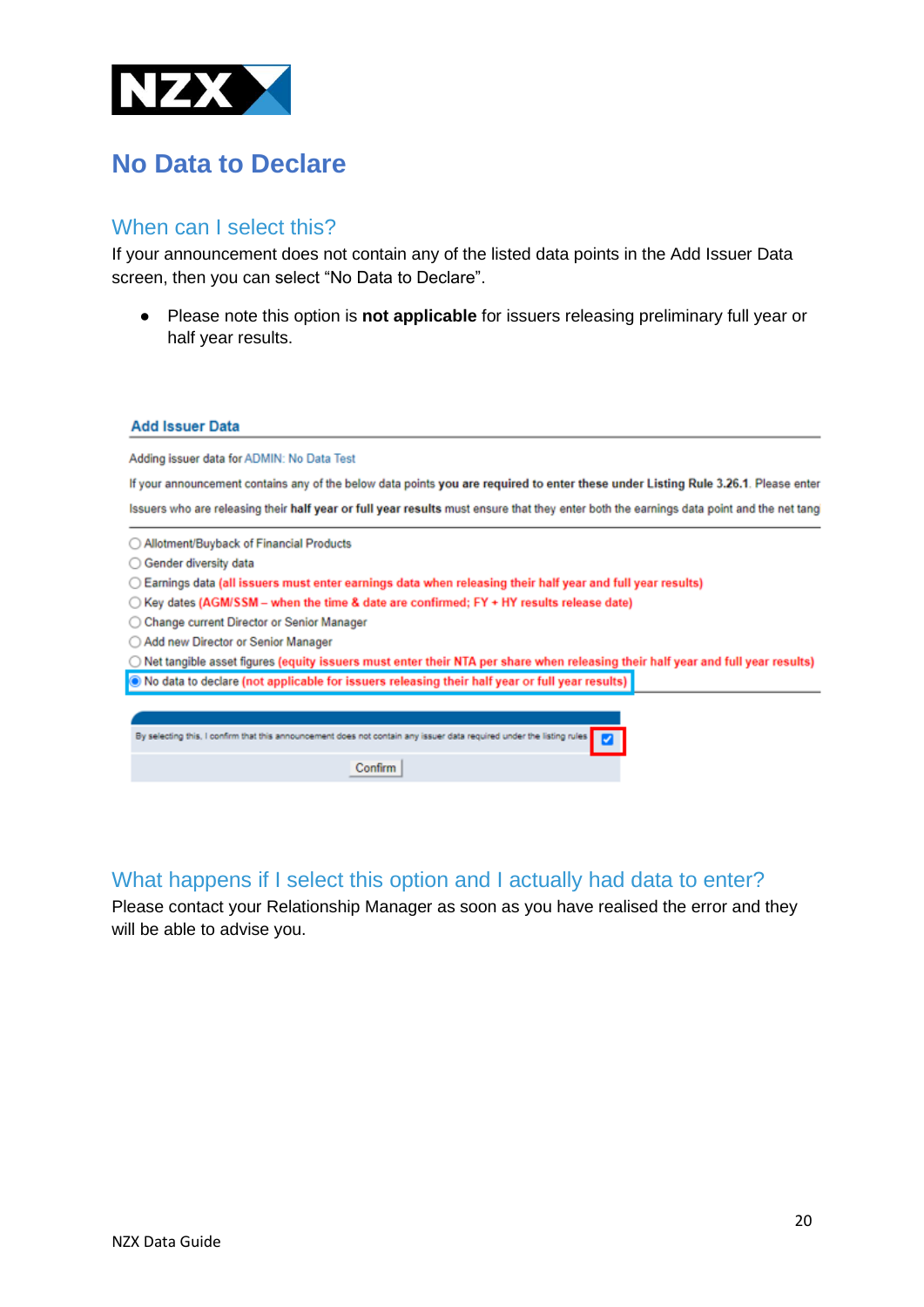

# <span id="page-19-0"></span>**No Data to Declare**

#### When can I select this?

If your announcement does not contain any of the listed data points in the Add Issuer Data screen, then you can select "No Data to Declare".

● Please note this option is **not applicable** for issuers releasing preliminary full year or half year results.

#### **Add Issuer Data**

Adding issuer data for ADMIN: No Data Test

If your announcement contains any of the below data points you are required to enter these under Listing Rule 3.26.1. Please enter Issuers who are releasing their half year or full year results must ensure that they enter both the earnings data point and the net tang

- ◯ Allotment/Buyback of Financial Products
- Gender diversity data
- Earnings data (all issuers must enter earnings data when releasing their half year and full year results)
- Key dates (AGM/SSM when the time & date are confirmed; FY + HY results release date)
- Change current Director or Senior Manager
- Add new Director or Senior Manager

O Net tangible asset figures (equity issuers must enter their NTA per share when releasing their half year and full year results) O No data to declare (not applicable for issuers releasing their half year or full year results)

| By selecting this, I confirm that this announcement does not contain any issuer data required under the listing rules |
|-----------------------------------------------------------------------------------------------------------------------|
|                                                                                                                       |
|                                                                                                                       |
|                                                                                                                       |
|                                                                                                                       |

## What happens if I select this option and I actually had data to enter?

<span id="page-19-1"></span>Please contact your Relationship Manager as soon as you have realised the error and they will be able to advise you.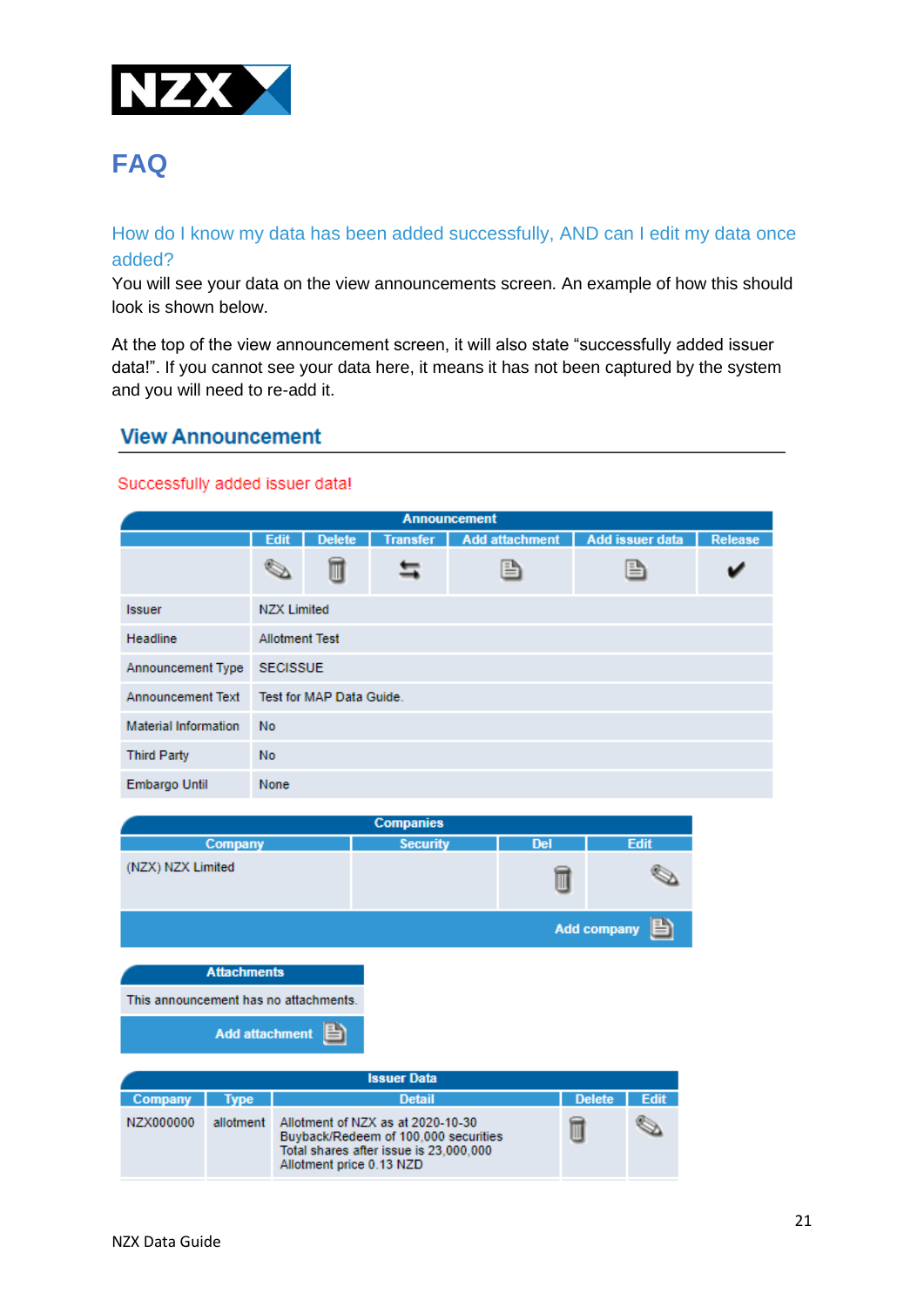

# **FAQ**

#### How do I know my data has been added successfully, AND can I edit my data once added?

You will see your data on the view announcements screen. An example of how this should look is shown below.

At the top of the view announcement screen, it will also state "successfully added issuer data!". If you cannot see your data here, it means it has not been captured by the system and you will need to re-add it.

#### **View Announcement**

#### Successfully added issuer data!

| <b>Announcement</b>         |             |                                                                                                       |  |   |   |  |  |  |  |
|-----------------------------|-------------|-------------------------------------------------------------------------------------------------------|--|---|---|--|--|--|--|
|                             | <b>Edit</b> | <b>Add attachment</b><br><b>Delete</b><br><b>Add issuer data</b><br><b>Transfer</b><br><b>Release</b> |  |   |   |  |  |  |  |
|                             |             | Ш                                                                                                     |  | B | B |  |  |  |  |
| <b>Issuer</b>               |             | <b>NZX Limited</b>                                                                                    |  |   |   |  |  |  |  |
| <b>Headline</b>             |             | <b>Allotment Test</b>                                                                                 |  |   |   |  |  |  |  |
| Announcement Type           |             | <b>SECISSUE</b>                                                                                       |  |   |   |  |  |  |  |
| <b>Announcement Text</b>    |             | Test for MAP Data Guide.                                                                              |  |   |   |  |  |  |  |
| <b>Material Information</b> | <b>No</b>   |                                                                                                       |  |   |   |  |  |  |  |
| <b>Third Party</b>          | <b>No</b>   |                                                                                                       |  |   |   |  |  |  |  |
| <b>Embargo Until</b>        | None        |                                                                                                       |  |   |   |  |  |  |  |

| <b>Companies</b>                      |                    |                          |                                                                                                                     |            |                    |             |
|---------------------------------------|--------------------|--------------------------|---------------------------------------------------------------------------------------------------------------------|------------|--------------------|-------------|
|                                       | Company            |                          | <b>Security</b>                                                                                                     | <b>Del</b> |                    | <b>Edit</b> |
| (NZX) NZX Limited                     |                    |                          |                                                                                                                     |            |                    |             |
|                                       |                    |                          |                                                                                                                     |            | <b>Add company</b> |             |
|                                       | <b>Attachments</b> |                          |                                                                                                                     |            |                    |             |
| This announcement has no attachments. |                    |                          |                                                                                                                     |            |                    |             |
| <b>Add attachment</b>                 |                    |                          |                                                                                                                     |            |                    |             |
|                                       |                    |                          | <b>Issuer Data</b>                                                                                                  |            |                    |             |
| Company                               | <b>Type</b>        |                          | <b>Detail</b>                                                                                                       |            | <b>Delete</b>      | <b>Edit</b> |
| NZX000000                             | allotment          | Allotment price 0.13 NZD | Allotment of NZX as at 2020-10-30<br>Buyback/Redeem of 100,000 securities<br>Total shares after issue is 23,000,000 |            |                    |             |